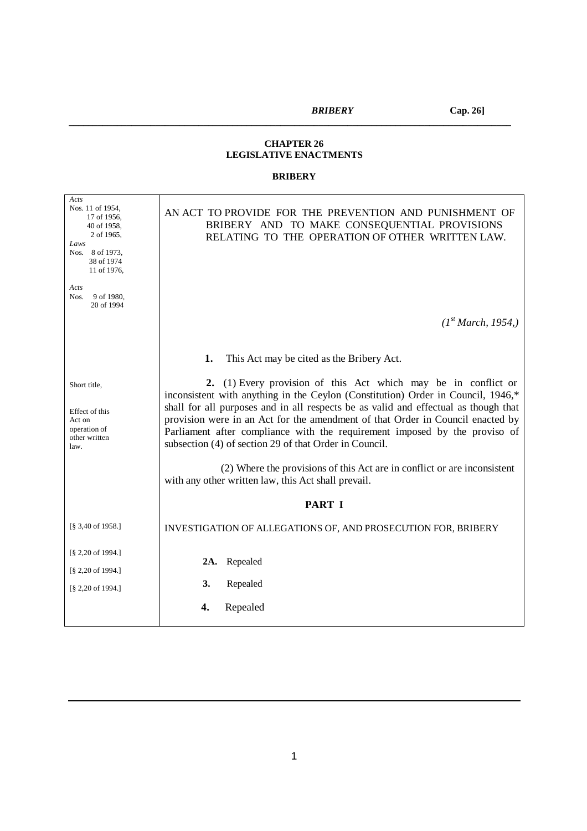#### **CHAPTER 26 LEGISLATIVE ENACTMENTS**

*\_\_\_\_\_\_\_\_\_\_\_\_\_\_\_\_\_\_\_\_\_\_\_\_\_\_\_\_\_\_\_\_\_\_\_\_\_\_\_\_\_\_\_\_\_\_\_\_\_\_\_\_\_\_\_\_\_\_\_\_\_\_\_\_\_\_\_\_\_\_\_\_\_\_\_\_\_\_\_\_\_\_\_\_\_\_\_\_\_\_\_\_*

### **BRIBERY**

| Acts<br>Nos. 11 of 1954,<br>17 of 1956,<br>40 of 1958,<br>2 of 1965,<br>Laws<br>Nos. 8 of 1973,<br>38 of 1974<br>11 of 1976, | AN ACT TO PROVIDE FOR THE PREVENTION AND PUNISHMENT OF<br>BRIBERY AND TO MAKE CONSEQUENTIAL PROVISIONS<br>RELATING TO THE OPERATION OF OTHER WRITTEN LAW.                                                                                                                                                                                                                                                                                                                                                                                       |  |  |
|------------------------------------------------------------------------------------------------------------------------------|-------------------------------------------------------------------------------------------------------------------------------------------------------------------------------------------------------------------------------------------------------------------------------------------------------------------------------------------------------------------------------------------------------------------------------------------------------------------------------------------------------------------------------------------------|--|--|
| Acts<br>Nos.<br>9 of 1980,                                                                                                   |                                                                                                                                                                                                                                                                                                                                                                                                                                                                                                                                                 |  |  |
| 20 of 1994                                                                                                                   | (I <sup>st</sup> March, 1954)                                                                                                                                                                                                                                                                                                                                                                                                                                                                                                                   |  |  |
|                                                                                                                              | 1.<br>This Act may be cited as the Bribery Act.                                                                                                                                                                                                                                                                                                                                                                                                                                                                                                 |  |  |
| Short title,<br>Effect of this<br>Act on<br>operation of<br>other written<br>law.                                            | 2. (1) Every provision of this Act which may be in conflict or<br>inconsistent with anything in the Ceylon (Constitution) Order in Council, 1946,*<br>shall for all purposes and in all respects be as valid and effectual as though that<br>provision were in an Act for the amendment of that Order in Council enacted by<br>Parliament after compliance with the requirement imposed by the proviso of<br>subsection (4) of section 29 of that Order in Council.<br>(2) Where the provisions of this Act are in conflict or are inconsistent |  |  |
|                                                                                                                              | with any other written law, this Act shall prevail.                                                                                                                                                                                                                                                                                                                                                                                                                                                                                             |  |  |
|                                                                                                                              | <b>PART I</b>                                                                                                                                                                                                                                                                                                                                                                                                                                                                                                                                   |  |  |
| [§ 3,40 of 1958.]                                                                                                            | INVESTIGATION OF ALLEGATIONS OF, AND PROSECUTION FOR, BRIBERY                                                                                                                                                                                                                                                                                                                                                                                                                                                                                   |  |  |
| [§ 2,20 of 1994.]<br>[§ 2,20 of 1994.]                                                                                       | Repealed<br>2A.                                                                                                                                                                                                                                                                                                                                                                                                                                                                                                                                 |  |  |
| [§ 2,20 of 1994.]                                                                                                            | Repealed<br>3.                                                                                                                                                                                                                                                                                                                                                                                                                                                                                                                                  |  |  |
|                                                                                                                              | Repealed<br>4.                                                                                                                                                                                                                                                                                                                                                                                                                                                                                                                                  |  |  |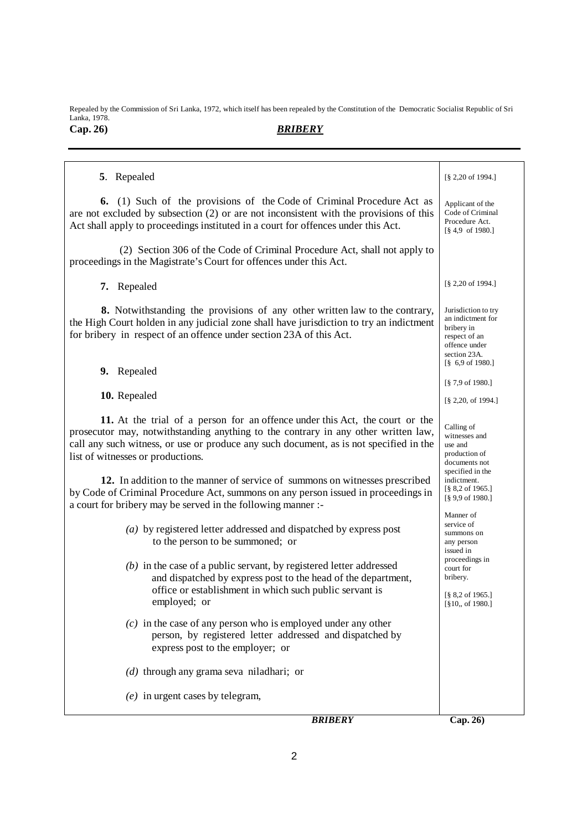Repealed by the Commission of Sri Lanka, 1972, which itself has been repealed by the Constitution of the Democratic Socialist Republic of Sri Lanka, 1978. **Cap. 26)** *BRIBERY*

| 5. Repealed                                                                                                                                                                                                                                                                                                                                                                                                                                                                                                                           | $\S$ 2,20 of 1994.]                                                                                                                                                     |
|---------------------------------------------------------------------------------------------------------------------------------------------------------------------------------------------------------------------------------------------------------------------------------------------------------------------------------------------------------------------------------------------------------------------------------------------------------------------------------------------------------------------------------------|-------------------------------------------------------------------------------------------------------------------------------------------------------------------------|
| (1) Such of the provisions of the Code of Criminal Procedure Act as<br>6.<br>are not excluded by subsection $(2)$ or are not inconsistent with the provisions of this<br>Act shall apply to proceedings instituted in a court for offences under this Act.                                                                                                                                                                                                                                                                            | Applicant of the<br>Code of Criminal<br>Procedure Act.<br>$\lceil 84.9 \rceil 1980.1 \rceil$                                                                            |
| (2) Section 306 of the Code of Criminal Procedure Act, shall not apply to<br>proceedings in the Magistrate's Court for offences under this Act.                                                                                                                                                                                                                                                                                                                                                                                       |                                                                                                                                                                         |
| 7. Repealed                                                                                                                                                                                                                                                                                                                                                                                                                                                                                                                           | $\S$ 2,20 of 1994.]                                                                                                                                                     |
| 8. Notwithstanding the provisions of any other written law to the contrary,<br>the High Court holden in any judicial zone shall have jurisdiction to try an indictment<br>for bribery in respect of an offence under section 23A of this Act.                                                                                                                                                                                                                                                                                         | Jurisdiction to try<br>an indictment for<br>bribery in<br>respect of an<br>offence under<br>section 23A.<br>$\begin{bmatrix} 8 & 6.9 & \text{of} & 1980. \end{bmatrix}$ |
| 9. Repealed                                                                                                                                                                                                                                                                                                                                                                                                                                                                                                                           | $\S$ 7,9 of 1980.]                                                                                                                                                      |
| 10. Repealed                                                                                                                                                                                                                                                                                                                                                                                                                                                                                                                          | $[\S 2, 20, \text{ of } 1994.]$                                                                                                                                         |
| 11. At the trial of a person for an offence under this Act, the court or the<br>prosecutor may, notwithstanding anything to the contrary in any other written law,<br>call any such witness, or use or produce any such document, as is not specified in the<br>list of witnesses or productions.<br>12. In addition to the manner of service of summons on witnesses prescribed<br>by Code of Criminal Procedure Act, summons on any person issued in proceedings in<br>a court for bribery may be served in the following manner :- | Calling of<br>witnesses and<br>use and<br>production of<br>documents not<br>specified in the<br>indictment.<br>$[\S 8, 2 \text{ of } 1965.]$<br>[§ 9,9 of 1980.]        |
| (a) by registered letter addressed and dispatched by express post<br>to the person to be summoned; or<br>$(b)$ in the case of a public servant, by registered letter addressed<br>and dispatched by express post to the head of the department,                                                                                                                                                                                                                                                                                       | Manner of<br>service of<br>summons on<br>any person<br>issued in<br>proceedings in<br>court for<br>bribery.                                                             |
| office or establishment in which such public servant is<br>employed; or                                                                                                                                                                                                                                                                                                                                                                                                                                                               | $[\S 8, 2 \text{ of } 1965.]$<br>$[\$10, 61980.]$                                                                                                                       |
| $(c)$ in the case of any person who is employed under any other<br>person, by registered letter addressed and dispatched by<br>express post to the employer; or                                                                                                                                                                                                                                                                                                                                                                       |                                                                                                                                                                         |
| $(d)$ through any grama seva niladhari; or                                                                                                                                                                                                                                                                                                                                                                                                                                                                                            |                                                                                                                                                                         |
| $(e)$ in urgent cases by telegram,                                                                                                                                                                                                                                                                                                                                                                                                                                                                                                    |                                                                                                                                                                         |
| <b>BRIBERY</b>                                                                                                                                                                                                                                                                                                                                                                                                                                                                                                                        | Cap. 26)                                                                                                                                                                |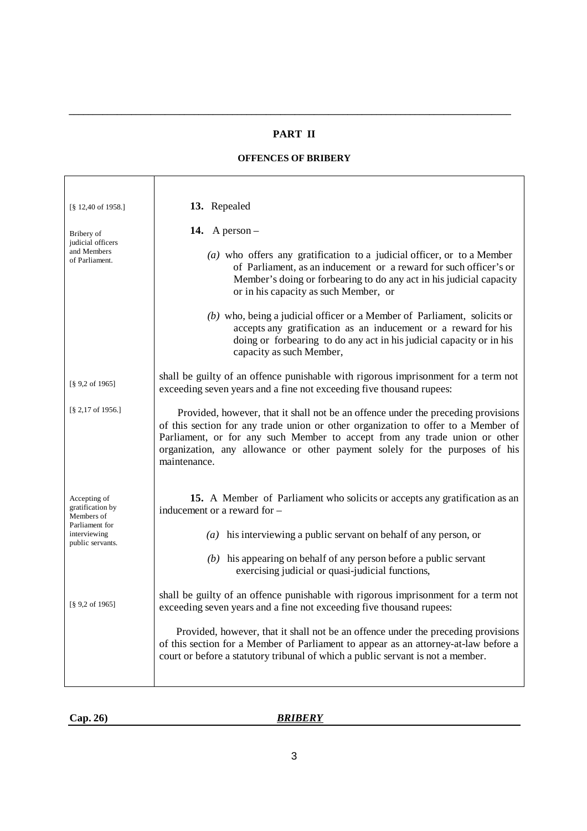### **PART II**

*\_\_\_\_\_\_\_\_\_\_\_\_\_\_\_\_\_\_\_\_\_\_\_\_\_\_\_\_\_\_\_\_\_\_\_\_\_\_\_\_\_\_\_\_\_\_\_\_\_\_\_\_\_\_\_\_\_\_\_\_\_\_\_\_\_\_\_\_\_\_\_\_\_\_\_\_\_\_\_\_\_\_\_\_\_\_\_\_\_\_\_\_*

## **OFFENCES OF BRIBERY**

| $\lceil$ § 12,40 of 1958.]                         | 13. Repealed                                                                                                                                                                                                                                                                                                                                        |  |  |
|----------------------------------------------------|-----------------------------------------------------------------------------------------------------------------------------------------------------------------------------------------------------------------------------------------------------------------------------------------------------------------------------------------------------|--|--|
| Bribery of<br>judicial officers                    | 14. A person $-$                                                                                                                                                                                                                                                                                                                                    |  |  |
| and Members<br>of Parliament.                      | $(a)$ who offers any gratification to a judicial officer, or to a Member<br>of Parliament, as an inducement or a reward for such officer's or<br>Member's doing or forbearing to do any act in his judicial capacity<br>or in his capacity as such Member, or                                                                                       |  |  |
|                                                    | (b) who, being a judicial officer or a Member of Parliament, solicits or<br>accepts any gratification as an inducement or a reward for his<br>doing or forbearing to do any act in his judicial capacity or in his<br>capacity as such Member,                                                                                                      |  |  |
| $\lceil$ § 9,2 of 1965]                            | shall be guilty of an offence punishable with rigorous imprisonment for a term not<br>exceeding seven years and a fine not exceeding five thousand rupees:                                                                                                                                                                                          |  |  |
| $[\S 2, 17 \text{ of } 1956.]$                     | Provided, however, that it shall not be an offence under the preceding provisions<br>of this section for any trade union or other organization to offer to a Member of<br>Parliament, or for any such Member to accept from any trade union or other<br>organization, any allowance or other payment solely for the purposes of his<br>maintenance. |  |  |
| Accepting of<br>gratification by<br>Members of     | 15. A Member of Parliament who solicits or accepts any gratification as an<br>inducement or a reward for –                                                                                                                                                                                                                                          |  |  |
| Parliament for<br>interviewing<br>public servants. | ( <i>a</i> ) his interviewing a public servant on behalf of any person, or                                                                                                                                                                                                                                                                          |  |  |
|                                                    | $(b)$ his appearing on behalf of any person before a public servant<br>exercising judicial or quasi-judicial functions,                                                                                                                                                                                                                             |  |  |
| $\lceil$ § 9,2 of 1965]                            | shall be guilty of an offence punishable with rigorous imprisonment for a term not<br>exceeding seven years and a fine not exceeding five thousand rupees:                                                                                                                                                                                          |  |  |
|                                                    | Provided, however, that it shall not be an offence under the preceding provisions<br>of this section for a Member of Parliament to appear as an attorney-at-law before a<br>court or before a statutory tribunal of which a public servant is not a member.                                                                                         |  |  |

|  | Cap. 26) |
|--|----------|
|  |          |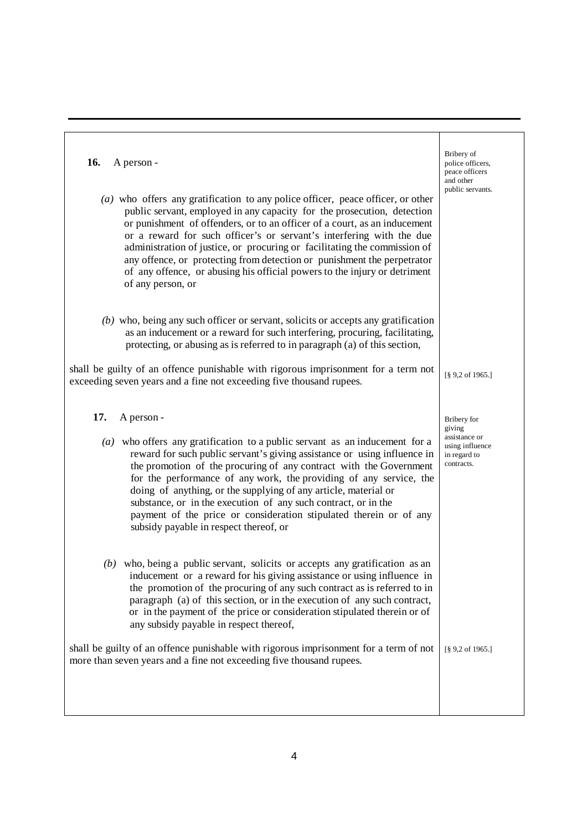| 16.<br>A person -                                                                                                                                                                                                                                                                                                                                                                                                                                                                                                                                                           | Bribery of<br>police officers,<br>peace officers<br>and other<br>public servants. |
|-----------------------------------------------------------------------------------------------------------------------------------------------------------------------------------------------------------------------------------------------------------------------------------------------------------------------------------------------------------------------------------------------------------------------------------------------------------------------------------------------------------------------------------------------------------------------------|-----------------------------------------------------------------------------------|
| $(a)$ who offers any gratification to any police officer, peace officer, or other<br>public servant, employed in any capacity for the prosecution, detection<br>or punishment of offenders, or to an officer of a court, as an inducement<br>or a reward for such officer's or servant's interfering with the due<br>administration of justice, or procuring or facilitating the commission of<br>any offence, or protecting from detection or punishment the perpetrator<br>of any offence, or abusing his official powers to the injury or detriment<br>of any person, or |                                                                                   |
| $(b)$ who, being any such officer or servant, solicits or accepts any gratification<br>as an inducement or a reward for such interfering, procuring, facilitating,<br>protecting, or abusing as is referred to in paragraph (a) of this section,                                                                                                                                                                                                                                                                                                                            |                                                                                   |
| shall be guilty of an offence punishable with rigorous imprisonment for a term not<br>exceeding seven years and a fine not exceeding five thousand rupees.                                                                                                                                                                                                                                                                                                                                                                                                                  | [§ 9,2 of 1965.]                                                                  |
| 17.<br>A person -                                                                                                                                                                                                                                                                                                                                                                                                                                                                                                                                                           | Bribery for<br>giving                                                             |
| $(a)$ who offers any gratification to a public servant as an inducement for a<br>reward for such public servant's giving assistance or using influence in<br>the promotion of the procuring of any contract with the Government<br>for the performance of any work, the providing of any service, the<br>doing of anything, or the supplying of any article, material or<br>substance, or in the execution of any such contract, or in the<br>payment of the price or consideration stipulated therein or of any<br>subsidy payable in respect thereof, or                  | assistance or<br>using influence<br>in regard to<br>contracts.                    |
| $(b)$ who, being a public servant, solicits or accepts any gratification as an<br>inducement or a reward for his giving assistance or using influence in<br>the promotion of the procuring of any such contract as is referred to in<br>paragraph (a) of this section, or in the execution of any such contract,<br>or in the payment of the price or consideration stipulated therein or of<br>any subsidy payable in respect thereof,                                                                                                                                     |                                                                                   |
| shall be guilty of an offence punishable with rigorous imprisonment for a term of not<br>more than seven years and a fine not exceeding five thousand rupees.                                                                                                                                                                                                                                                                                                                                                                                                               | [§ 9,2 of 1965.]                                                                  |
|                                                                                                                                                                                                                                                                                                                                                                                                                                                                                                                                                                             |                                                                                   |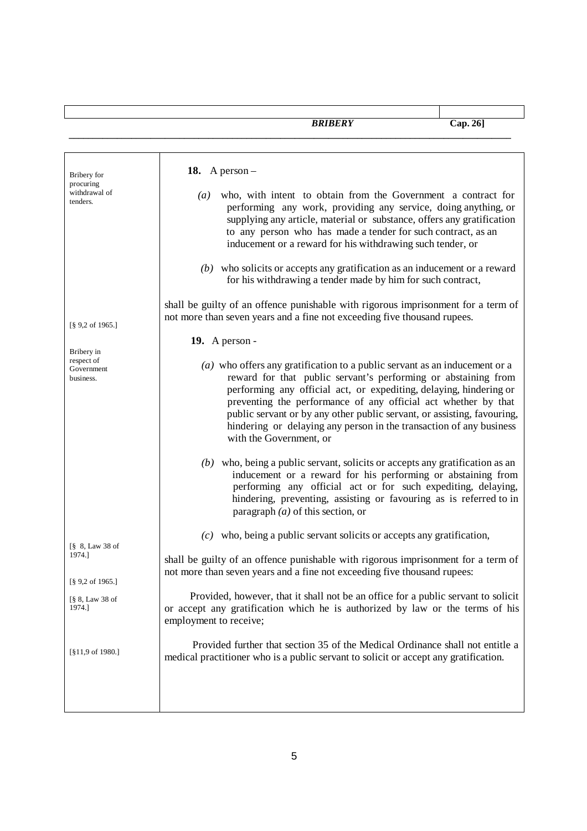| Bribery for                                         | 18. A person $-$                                                                                                                                                                                                                                                                                                                                                                                                                                                    |
|-----------------------------------------------------|---------------------------------------------------------------------------------------------------------------------------------------------------------------------------------------------------------------------------------------------------------------------------------------------------------------------------------------------------------------------------------------------------------------------------------------------------------------------|
| procuring<br>withdrawal of<br>tenders.              | $(a)$ who, with intent to obtain from the Government a contract for<br>performing any work, providing any service, doing anything, or<br>supplying any article, material or substance, offers any gratification<br>to any person who has made a tender for such contract, as an<br>inducement or a reward for his withdrawing such tender, or                                                                                                                       |
|                                                     | $(b)$ who solicits or accepts any gratification as an inducement or a reward<br>for his withdrawing a tender made by him for such contract,                                                                                                                                                                                                                                                                                                                         |
| $[\S 9, 2 \text{ of } 1965.]$                       | shall be guilty of an offence punishable with rigorous imprisonment for a term of<br>not more than seven years and a fine not exceeding five thousand rupees.                                                                                                                                                                                                                                                                                                       |
|                                                     | 19. A person -                                                                                                                                                                                                                                                                                                                                                                                                                                                      |
| Bribery in<br>respect of<br>Government<br>business. | $(a)$ who offers any gratification to a public servant as an inducement or a<br>reward for that public servant's performing or abstaining from<br>performing any official act, or expediting, delaying, hindering or<br>preventing the performance of any official act whether by that<br>public servant or by any other public servant, or assisting, favouring,<br>hindering or delaying any person in the transaction of any business<br>with the Government, or |
|                                                     | $(b)$ who, being a public servant, solicits or accepts any gratification as an<br>inducement or a reward for his performing or abstaining from<br>performing any official act or for such expediting, delaying,<br>hindering, preventing, assisting or favouring as is referred to in<br>paragraph $(a)$ of this section, or                                                                                                                                        |
|                                                     | $(c)$ who, being a public servant solicits or accepts any gratification,                                                                                                                                                                                                                                                                                                                                                                                            |
| [§ 8, Law 38 of<br>1974.]                           | shall be guilty of an offence punishable with rigorous imprisonment for a term of<br>not more than seven years and a fine not exceeding five thousand rupees:                                                                                                                                                                                                                                                                                                       |
| [§ 9,2 of 1965.]<br>[§ 8, Law 38 of<br>1974.]       | Provided, however, that it shall not be an office for a public servant to solicit<br>or accept any gratification which he is authorized by law or the terms of his<br>employment to receive;                                                                                                                                                                                                                                                                        |
| [§11,9 of 1980.]                                    | Provided further that section 35 of the Medical Ordinance shall not entitle a<br>medical practitioner who is a public servant to solicit or accept any gratification.                                                                                                                                                                                                                                                                                               |
|                                                     |                                                                                                                                                                                                                                                                                                                                                                                                                                                                     |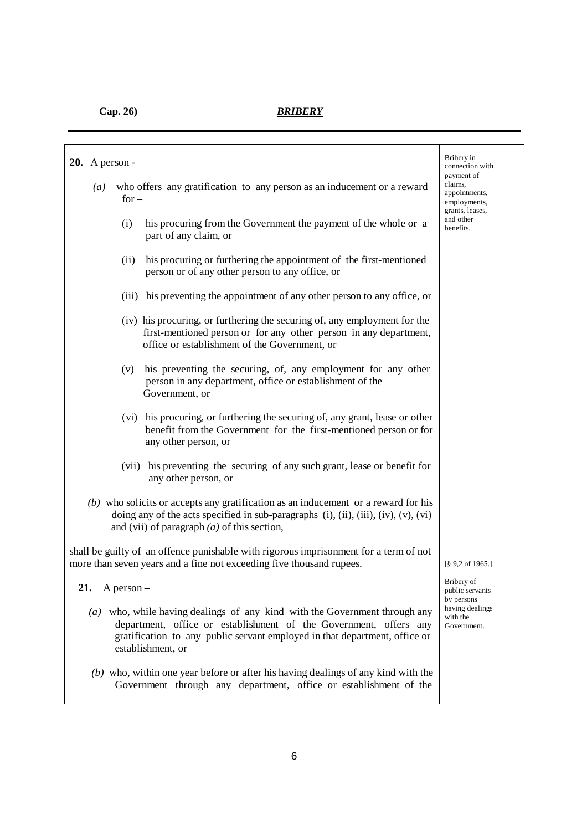| $20.$ A person -<br>who offers any gratification to any person as an inducement or a reward<br>$\left(a\right)$<br>$for -$                                                                                                                         | Bribery in<br>connection with<br>payment of<br>claims,<br>appointments,<br>employments, |
|----------------------------------------------------------------------------------------------------------------------------------------------------------------------------------------------------------------------------------------------------|-----------------------------------------------------------------------------------------|
| (i)<br>his procuring from the Government the payment of the whole or a<br>part of any claim, or                                                                                                                                                    | grants, leases,<br>and other<br>benefits.                                               |
| his procuring or furthering the appointment of the first-mentioned<br>(ii)<br>person or of any other person to any office, or                                                                                                                      |                                                                                         |
| (iii) his preventing the appointment of any other person to any office, or                                                                                                                                                                         |                                                                                         |
| (iv) his procuring, or furthering the securing of, any employment for the<br>first-mentioned person or for any other person in any department,<br>office or establishment of the Government, or                                                    |                                                                                         |
| his preventing the securing, of, any employment for any other<br>(v)<br>person in any department, office or establishment of the<br>Government, or                                                                                                 |                                                                                         |
| (vi) his procuring, or furthering the securing of, any grant, lease or other<br>benefit from the Government for the first-mentioned person or for<br>any other person, or                                                                          |                                                                                         |
| his preventing the securing of any such grant, lease or benefit for<br>(vii)<br>any other person, or                                                                                                                                               |                                                                                         |
| $(b)$ who solicits or accepts any gratification as an inducement or a reward for his<br>doing any of the acts specified in sub-paragraphs (i), (ii), (iii), (iv), (v), (vi)<br>and (vii) of paragraph $(a)$ of this section,                       |                                                                                         |
| shall be guilty of an offence punishable with rigorous imprisonment for a term of not<br>more than seven years and a fine not exceeding five thousand rupees.                                                                                      | $\left[\frac{8}{9}\right.9,2$ of 1965.]                                                 |
| 21.<br>A person $-$                                                                                                                                                                                                                                | Bribery of<br>public servants                                                           |
| (a) who, while having dealings of any kind with the Government through any<br>department, office or establishment of the Government, offers any<br>gratification to any public servant employed in that department, office or<br>establishment, or | by persons<br>having dealings<br>with the<br>Government.                                |
| $(b)$ who, within one year before or after his having dealings of any kind with the<br>Government through any department, office or establishment of the                                                                                           |                                                                                         |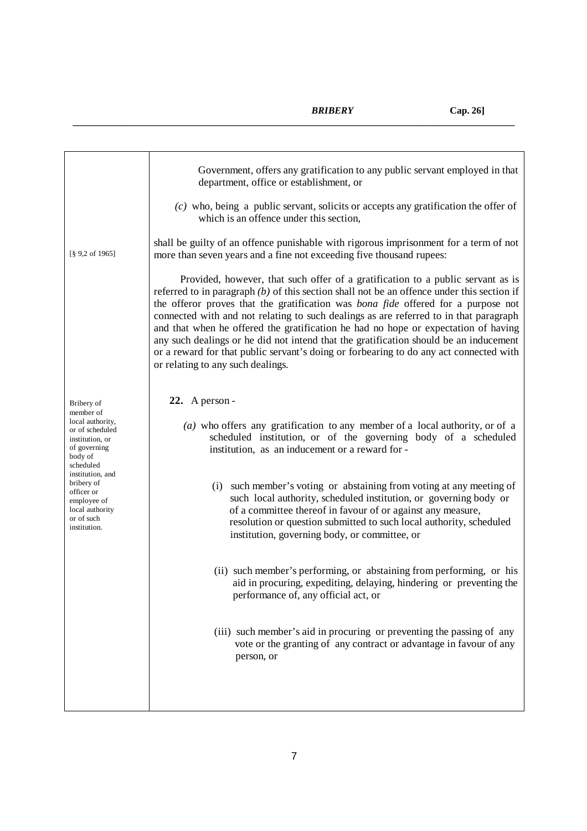|                                                                                                                                                                                                                             | Government, offers any gratification to any public servant employed in that<br>department, office or establishment, or                                                                                                                                                                                                                                                                                                                                                                                                                                                                                                                                                             |
|-----------------------------------------------------------------------------------------------------------------------------------------------------------------------------------------------------------------------------|------------------------------------------------------------------------------------------------------------------------------------------------------------------------------------------------------------------------------------------------------------------------------------------------------------------------------------------------------------------------------------------------------------------------------------------------------------------------------------------------------------------------------------------------------------------------------------------------------------------------------------------------------------------------------------|
|                                                                                                                                                                                                                             | $(c)$ who, being a public servant, solicits or accepts any gratification the offer of<br>which is an offence under this section,                                                                                                                                                                                                                                                                                                                                                                                                                                                                                                                                                   |
| $[\S 9, 2 \text{ of } 1965]$                                                                                                                                                                                                | shall be guilty of an offence punishable with rigorous imprisonment for a term of not<br>more than seven years and a fine not exceeding five thousand rupees:                                                                                                                                                                                                                                                                                                                                                                                                                                                                                                                      |
|                                                                                                                                                                                                                             | Provided, however, that such offer of a gratification to a public servant as is<br>referred to in paragraph $(b)$ of this section shall not be an offence under this section if<br>the offeror proves that the gratification was <i>bona fide</i> offered for a purpose not<br>connected with and not relating to such dealings as are referred to in that paragraph<br>and that when he offered the gratification he had no hope or expectation of having<br>any such dealings or he did not intend that the gratification should be an inducement<br>or a reward for that public servant's doing or forbearing to do any act connected with<br>or relating to any such dealings. |
| Bribery of                                                                                                                                                                                                                  | 22. A person -                                                                                                                                                                                                                                                                                                                                                                                                                                                                                                                                                                                                                                                                     |
| member of<br>local authority,<br>or of scheduled<br>institution, or<br>of governing<br>body of<br>scheduled<br>institution, and<br>bribery of<br>officer or<br>employee of<br>local authority<br>or of such<br>institution. | (a) who offers any gratification to any member of a local authority, or of a<br>scheduled institution, or of the governing body of a scheduled<br>institution, as an inducement or a reward for -                                                                                                                                                                                                                                                                                                                                                                                                                                                                                  |
|                                                                                                                                                                                                                             | (i) such member's voting or abstaining from voting at any meeting of<br>such local authority, scheduled institution, or governing body or<br>of a committee thereof in favour of or against any measure,<br>resolution or question submitted to such local authority, scheduled<br>institution, governing body, or committee, or                                                                                                                                                                                                                                                                                                                                                   |
|                                                                                                                                                                                                                             | (ii) such member's performing, or abstaining from performing, or his<br>aid in procuring, expediting, delaying, hindering or preventing the<br>performance of, any official act, or                                                                                                                                                                                                                                                                                                                                                                                                                                                                                                |
|                                                                                                                                                                                                                             | (iii) such member's aid in procuring or preventing the passing of any<br>vote or the granting of any contract or advantage in favour of any<br>person, or                                                                                                                                                                                                                                                                                                                                                                                                                                                                                                                          |
|                                                                                                                                                                                                                             |                                                                                                                                                                                                                                                                                                                                                                                                                                                                                                                                                                                                                                                                                    |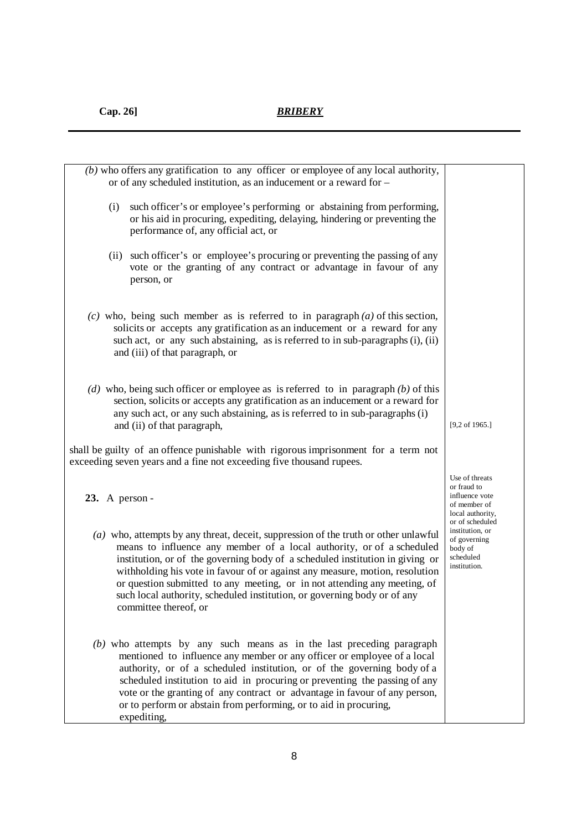| $(b)$ who offers any gratification to any officer or employee of any local authority,<br>or of any scheduled institution, as an inducement or a reward for -                                                                                                                                                                                                                                                                                                                                                      |                                                                                                        |
|-------------------------------------------------------------------------------------------------------------------------------------------------------------------------------------------------------------------------------------------------------------------------------------------------------------------------------------------------------------------------------------------------------------------------------------------------------------------------------------------------------------------|--------------------------------------------------------------------------------------------------------|
| such officer's or employee's performing or abstaining from performing,<br>(i)<br>or his aid in procuring, expediting, delaying, hindering or preventing the<br>performance of, any official act, or                                                                                                                                                                                                                                                                                                               |                                                                                                        |
| such officer's or employee's procuring or preventing the passing of any<br>(ii)<br>vote or the granting of any contract or advantage in favour of any<br>person, or                                                                                                                                                                                                                                                                                                                                               |                                                                                                        |
| $(c)$ who, being such member as is referred to in paragraph $(a)$ of this section,<br>solicits or accepts any gratification as an inducement or a reward for any<br>such act, or any such abstaining, as is referred to in sub-paragraphs (i), (ii)<br>and (iii) of that paragraph, or                                                                                                                                                                                                                            |                                                                                                        |
| (d) who, being such officer or employee as is referred to in paragraph $(b)$ of this<br>section, solicits or accepts any gratification as an inducement or a reward for<br>any such act, or any such abstaining, as is referred to in sub-paragraphs (i)<br>and (ii) of that paragraph,                                                                                                                                                                                                                           | $[9,2$ of 1965.]                                                                                       |
| shall be guilty of an offence punishable with rigorous imprisonment for a term not<br>exceeding seven years and a fine not exceeding five thousand rupees.                                                                                                                                                                                                                                                                                                                                                        |                                                                                                        |
| $23.$ A person -                                                                                                                                                                                                                                                                                                                                                                                                                                                                                                  | Use of threats<br>or fraud to<br>influence vote<br>of member of<br>local authority,<br>or of scheduled |
| $(a)$ who, attempts by any threat, deceit, suppression of the truth or other unlawful<br>means to influence any member of a local authority, or of a scheduled<br>institution, or of the governing body of a scheduled institution in giving or<br>withholding his vote in favour of or against any measure, motion, resolution<br>or question submitted to any meeting, or in not attending any meeting, of<br>such local authority, scheduled institution, or governing body or of any<br>committee thereof, or | institution, or<br>of governing<br>body of<br>scheduled<br>institution.                                |
| $(b)$ who attempts by any such means as in the last preceding paragraph<br>mentioned to influence any member or any officer or employee of a local<br>authority, or of a scheduled institution, or of the governing body of a<br>scheduled institution to aid in procuring or preventing the passing of any<br>vote or the granting of any contract or advantage in favour of any person,<br>or to perform or abstain from performing, or to aid in procuring,<br>expediting,                                     |                                                                                                        |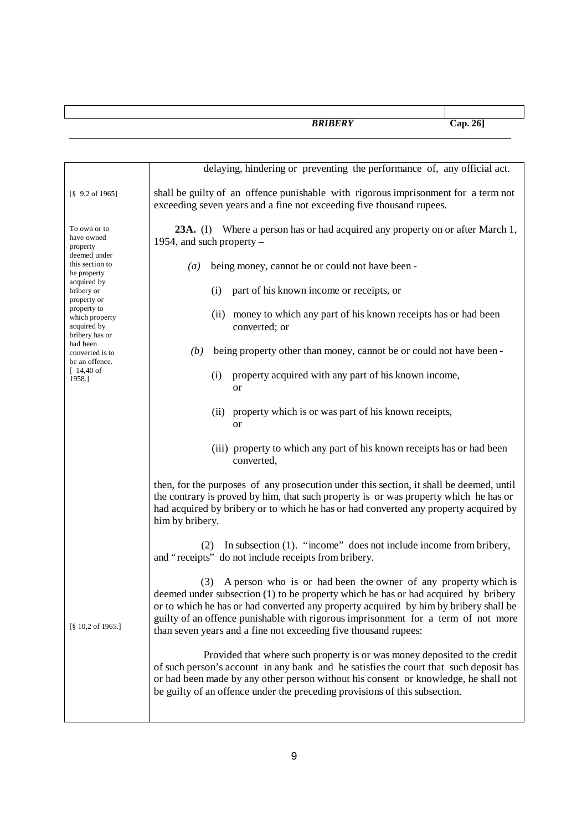|                                                                | <b>BRIBERY</b>                                                                                                                                                                                                                                                                                                                                                                                           | Cap.26] |
|----------------------------------------------------------------|----------------------------------------------------------------------------------------------------------------------------------------------------------------------------------------------------------------------------------------------------------------------------------------------------------------------------------------------------------------------------------------------------------|---------|
|                                                                |                                                                                                                                                                                                                                                                                                                                                                                                          |         |
|                                                                | delaying, hindering or preventing the performance of, any official act.                                                                                                                                                                                                                                                                                                                                  |         |
| $\begin{bmatrix} 8 & 9,2 \text{ of } 1965 \end{bmatrix}$       | shall be guilty of an offence punishable with rigorous imprisonment for a term not<br>exceeding seven years and a fine not exceeding five thousand rupees.                                                                                                                                                                                                                                               |         |
| To own or to<br>have owned<br>property                         | 23A. (I) Where a person has or had acquired any property on or after March 1,<br>1954, and such property $-$                                                                                                                                                                                                                                                                                             |         |
| deemed under<br>this section to<br>be property                 | being money, cannot be or could not have been -<br>$\left(a\right)$                                                                                                                                                                                                                                                                                                                                      |         |
| acquired by<br>bribery or<br>property or                       | part of his known income or receipts, or<br>(i)                                                                                                                                                                                                                                                                                                                                                          |         |
| property to<br>which property<br>acquired by<br>bribery has or | money to which any part of his known receipts has or had been<br>(ii)<br>converted; or                                                                                                                                                                                                                                                                                                                   |         |
| had been<br>converted is to<br>be an offence.                  | being property other than money, cannot be or could not have been -<br>(b)                                                                                                                                                                                                                                                                                                                               |         |
| $[14, 40$ of<br>1958.]                                         | property acquired with any part of his known income,<br>(i)<br><b>or</b>                                                                                                                                                                                                                                                                                                                                 |         |
|                                                                | property which is or was part of his known receipts,<br>(ii)<br><b>or</b>                                                                                                                                                                                                                                                                                                                                |         |
|                                                                | (iii) property to which any part of his known receipts has or had been<br>converted,                                                                                                                                                                                                                                                                                                                     |         |
|                                                                | then, for the purposes of any prosecution under this section, it shall be deemed, until<br>the contrary is proved by him, that such property is or was property which he has or<br>had acquired by bribery or to which he has or had converted any property acquired by<br>him by bribery.                                                                                                               |         |
|                                                                | In subsection $(1)$ . "income" does not include income from bribery,<br>(2)<br>and "receipts" do not include receipts from bribery.                                                                                                                                                                                                                                                                      |         |
| [§ 10,2 of 1965.]                                              | (3) A person who is or had been the owner of any property which is<br>deemed under subsection (1) to be property which he has or had acquired by bribery<br>or to which he has or had converted any property acquired by him by bribery shall be<br>guilty of an offence punishable with rigorous imprisonment for a term of not more<br>than seven years and a fine not exceeding five thousand rupees: |         |
|                                                                | Provided that where such property is or was money deposited to the credit<br>of such person's account in any bank and he satisfies the court that such deposit has<br>or had been made by any other person without his consent or knowledge, he shall not<br>be guilty of an offence under the preceding provisions of this subsection.                                                                  |         |
|                                                                |                                                                                                                                                                                                                                                                                                                                                                                                          |         |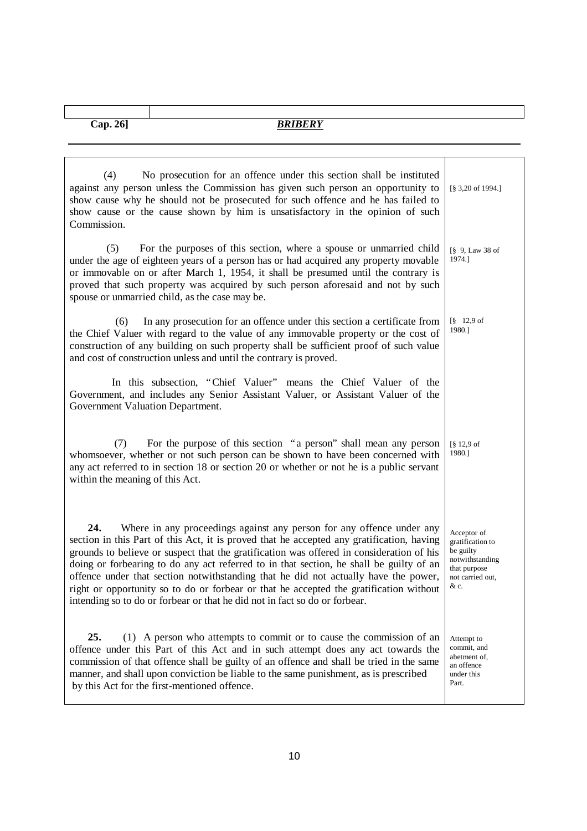ı

| No prosecution for an offence under this section shall be instituted<br>(4)<br>against any person unless the Commission has given such person an opportunity to<br>show cause why he should not be prosecuted for such offence and he has failed to<br>show cause or the cause shown by him is unsatisfactory in the opinion of such<br>Commission.                                                                                                                                                                                                                                                                             | [§ 3,20 of 1994.]                                                                                           |
|---------------------------------------------------------------------------------------------------------------------------------------------------------------------------------------------------------------------------------------------------------------------------------------------------------------------------------------------------------------------------------------------------------------------------------------------------------------------------------------------------------------------------------------------------------------------------------------------------------------------------------|-------------------------------------------------------------------------------------------------------------|
| (5)<br>For the purposes of this section, where a spouse or unmarried child<br>under the age of eighteen years of a person has or had acquired any property movable<br>or immovable on or after March 1, 1954, it shall be presumed until the contrary is<br>proved that such property was acquired by such person aforesaid and not by such<br>spouse or unmarried child, as the case may be.                                                                                                                                                                                                                                   | $\lceil \S$ 9, Law 38 of<br>1974.]                                                                          |
| In any prosecution for an offence under this section a certificate from<br>(6)<br>the Chief Valuer with regard to the value of any immovable property or the cost of<br>construction of any building on such property shall be sufficient proof of such value<br>and cost of construction unless and until the contrary is proved.                                                                                                                                                                                                                                                                                              | $8 \quad 12.9 \text{ of}$<br>1980.1                                                                         |
| In this subsection, "Chief Valuer" means the Chief Valuer of the<br>Government, and includes any Senior Assistant Valuer, or Assistant Valuer of the<br>Government Valuation Department.                                                                                                                                                                                                                                                                                                                                                                                                                                        |                                                                                                             |
| For the purpose of this section "a person" shall mean any person<br>(7)<br>whomsoever, whether or not such person can be shown to have been concerned with<br>any act referred to in section 18 or section 20 or whether or not he is a public servant<br>within the meaning of this Act.                                                                                                                                                                                                                                                                                                                                       | $\lceil$ § 12,9 of<br>1980.]                                                                                |
| 24.<br>Where in any proceedings against any person for any offence under any<br>section in this Part of this Act, it is proved that he accepted any gratification, having<br>grounds to believe or suspect that the gratification was offered in consideration of his<br>doing or forbearing to do any act referred to in that section, he shall be guilty of an<br>offence under that section notwithstanding that he did not actually have the power,<br>right or opportunity so to do or forbear or that he accepted the gratification without<br>intending so to do or forbear or that he did not in fact so do or forbear. | Acceptor of<br>gratification to<br>be guilty<br>notwithstanding<br>that purpose<br>not carried out,<br>& c. |
| 25.<br>(1) A person who attempts to commit or to cause the commission of an<br>offence under this Part of this Act and in such attempt does any act towards the<br>commission of that offence shall be guilty of an offence and shall be tried in the same<br>manner, and shall upon conviction be liable to the same punishment, as is prescribed<br>by this Act for the first-mentioned offence.                                                                                                                                                                                                                              | Attempt to<br>commit, and<br>abetment of,<br>an offence<br>under this<br>Part.                              |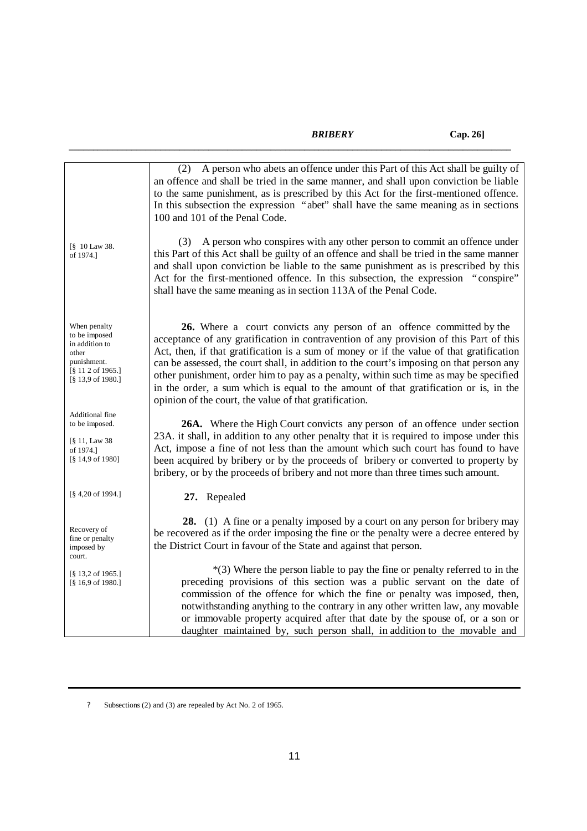*\_\_\_\_\_\_\_\_\_\_\_\_\_\_\_\_\_\_\_\_\_\_\_\_\_\_\_\_\_\_\_\_\_\_\_\_\_\_\_\_\_\_\_\_\_\_\_\_\_\_\_\_\_\_\_\_\_\_\_\_\_\_\_\_\_\_\_\_\_\_\_\_\_\_\_\_\_\_\_\_\_\_\_\_\_\_\_\_\_\_\_\_*

|                                                                                                                                        | (2) A person who abets an offence under this Part of this Act shall be guilty of<br>an offence and shall be tried in the same manner, and shall upon conviction be liable<br>to the same punishment, as is prescribed by this Act for the first-mentioned offence.<br>In this subsection the expression "abet" shall have the same meaning as in sections<br>100 and 101 of the Penal Code.                                                                                                                                                                                                       |
|----------------------------------------------------------------------------------------------------------------------------------------|---------------------------------------------------------------------------------------------------------------------------------------------------------------------------------------------------------------------------------------------------------------------------------------------------------------------------------------------------------------------------------------------------------------------------------------------------------------------------------------------------------------------------------------------------------------------------------------------------|
| [§ 10 Law 38.<br>of 1974.]                                                                                                             | A person who conspires with any other person to commit an offence under<br>(3)<br>this Part of this Act shall be guilty of an offence and shall be tried in the same manner<br>and shall upon conviction be liable to the same punishment as is prescribed by this<br>Act for the first-mentioned offence. In this subsection, the expression "conspire"<br>shall have the same meaning as in section 113A of the Penal Code.                                                                                                                                                                     |
| When penalty<br>to be imposed<br>in addition to<br>other<br>punishment.<br>$\lceil$ § 11 2 of 1965.]<br>$[\S 13, 9 \text{ of } 1980.]$ | 26. Where a court convicts any person of an offence committed by the<br>acceptance of any gratification in contravention of any provision of this Part of this<br>Act, then, if that gratification is a sum of money or if the value of that gratification<br>can be assessed, the court shall, in addition to the court's imposing on that person any<br>other punishment, order him to pay as a penalty, within such time as may be specified<br>in the order, a sum which is equal to the amount of that gratification or is, in the<br>opinion of the court, the value of that gratification. |
| Additional fine<br>to be imposed.<br>$\lbrack \S 11, Law 38 \rbrack$<br>of 1974.]<br>$[\S 14, 9 \text{ of } 1980]$                     | 26A. Where the High Court convicts any person of an offence under section<br>23A. it shall, in addition to any other penalty that it is required to impose under this<br>Act, impose a fine of not less than the amount which such court has found to have<br>been acquired by bribery or by the proceeds of bribery or converted to property by<br>bribery, or by the proceeds of bribery and not more than three times such amount.                                                                                                                                                             |
| $[\S 4, 20 \text{ of } 1994.]$                                                                                                         | 27. Repealed                                                                                                                                                                                                                                                                                                                                                                                                                                                                                                                                                                                      |
| Recovery of<br>fine or penalty<br>imposed by<br>court.                                                                                 | 28. (1) A fine or a penalty imposed by a court on any person for bribery may<br>be recovered as if the order imposing the fine or the penalty were a decree entered by<br>the District Court in favour of the State and against that person.                                                                                                                                                                                                                                                                                                                                                      |
| $\lceil$ § 13,2 of 1965.]<br>$\lceil$ § 16,9 of 1980.]                                                                                 | $*(3)$ Where the person liable to pay the fine or penalty referred to in the<br>preceding provisions of this section was a public servant on the date of<br>commission of the offence for which the fine or penalty was imposed, then,<br>notwithstanding anything to the contrary in any other written law, any movable<br>or immovable property acquired after that date by the spouse of, or a son or<br>daughter maintained by, such person shall, in addition to the movable and                                                                                                             |

? Subsections (2) and (3) are repealed by Act No. 2 of 1965.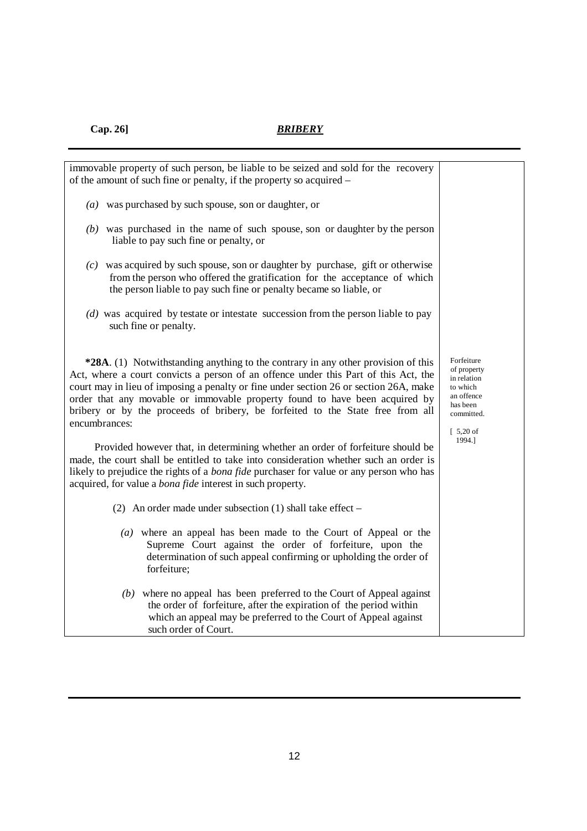| immovable property of such person, be liable to be seized and sold for the recovery<br>of the amount of such fine or penalty, if the property so acquired –                                                                                                                                                                                                                                                                                         |                                                                                                                                  |  |  |  |  |  |  |
|-----------------------------------------------------------------------------------------------------------------------------------------------------------------------------------------------------------------------------------------------------------------------------------------------------------------------------------------------------------------------------------------------------------------------------------------------------|----------------------------------------------------------------------------------------------------------------------------------|--|--|--|--|--|--|
| $(a)$ was purchased by such spouse, son or daughter, or                                                                                                                                                                                                                                                                                                                                                                                             |                                                                                                                                  |  |  |  |  |  |  |
| $(b)$ was purchased in the name of such spouse, son or daughter by the person<br>liable to pay such fine or penalty, or                                                                                                                                                                                                                                                                                                                             |                                                                                                                                  |  |  |  |  |  |  |
| $(c)$ was acquired by such spouse, son or daughter by purchase, gift or otherwise<br>from the person who offered the gratification for the acceptance of which<br>the person liable to pay such fine or penalty became so liable, or                                                                                                                                                                                                                |                                                                                                                                  |  |  |  |  |  |  |
| (d) was acquired by testate or intestate succession from the person liable to pay<br>such fine or penalty.                                                                                                                                                                                                                                                                                                                                          |                                                                                                                                  |  |  |  |  |  |  |
| *28A. (1) Notwithstanding anything to the contrary in any other provision of this<br>Act, where a court convicts a person of an offence under this Part of this Act, the<br>court may in lieu of imposing a penalty or fine under section 26 or section 26A, make<br>order that any movable or immovable property found to have been acquired by<br>bribery or by the proceeds of bribery, be forfeited to the State free from all<br>encumbrances: | Forfeiture<br>of property<br>in relation<br>to which<br>an offence<br>has been<br>committed.<br>$\lceil 5,20 \text{ of } \rceil$ |  |  |  |  |  |  |
| Provided however that, in determining whether an order of forfeiture should be<br>made, the court shall be entitled to take into consideration whether such an order is<br>likely to prejudice the rights of a <i>bona fide</i> purchaser for value or any person who has<br>acquired, for value a <i>bona fide</i> interest in such property.                                                                                                      | 1994.]                                                                                                                           |  |  |  |  |  |  |
| (2) An order made under subsection (1) shall take effect $-$                                                                                                                                                                                                                                                                                                                                                                                        |                                                                                                                                  |  |  |  |  |  |  |
| (a) where an appeal has been made to the Court of Appeal or the<br>Supreme Court against the order of forfeiture, upon the<br>determination of such appeal confirming or upholding the order of<br>forfeiture;                                                                                                                                                                                                                                      |                                                                                                                                  |  |  |  |  |  |  |
| $(b)$ where no appeal has been preferred to the Court of Appeal against<br>the order of forfeiture, after the expiration of the period within<br>which an appeal may be preferred to the Court of Appeal against<br>such order of Court.                                                                                                                                                                                                            |                                                                                                                                  |  |  |  |  |  |  |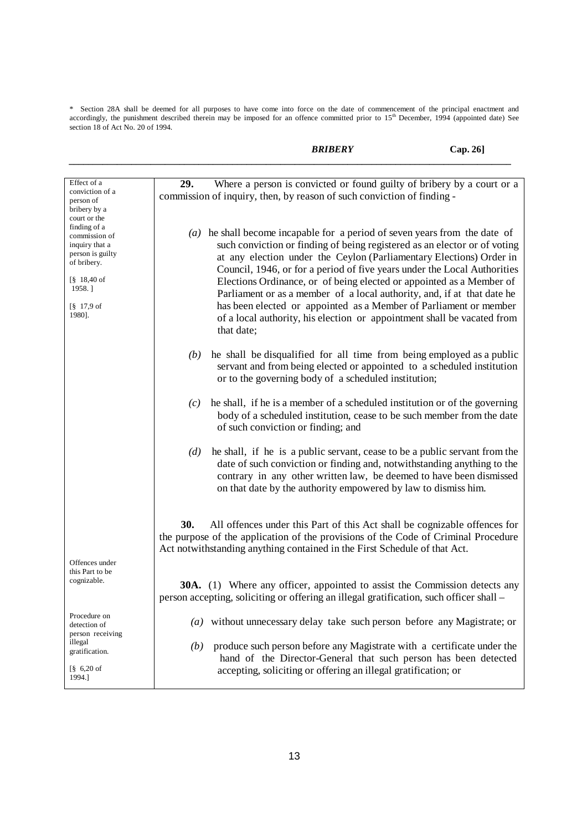\* Section 28A shall be deemed for all purposes to have come into force on the date of commencement of the principal enactment and accordingly, the punishment described therein may be imposed for an offence committed prior section 18 of Act No. 20 of 1994.

*BRIBERY* **Cap. 26]**

| Effect of a                                                                                                                                                                              | Where a person is convicted or found guilty of bribery by a court or a<br>29.                                                                                                                                                                                                                                                                                                                                                                                                                                                                                                                                                 |
|------------------------------------------------------------------------------------------------------------------------------------------------------------------------------------------|-------------------------------------------------------------------------------------------------------------------------------------------------------------------------------------------------------------------------------------------------------------------------------------------------------------------------------------------------------------------------------------------------------------------------------------------------------------------------------------------------------------------------------------------------------------------------------------------------------------------------------|
| conviction of a<br>person of<br>bribery by a<br>court or the                                                                                                                             | commission of inquiry, then, by reason of such conviction of finding -                                                                                                                                                                                                                                                                                                                                                                                                                                                                                                                                                        |
| finding of a<br>commission of<br>inquiry that a<br>person is guilty<br>of bribery.<br>$\frac{8}{9}$ 18,40 of<br>1958.]<br>$\begin{bmatrix} \S & 17.9 \text{ of} \end{bmatrix}$<br>1980]. | $(a)$ he shall become incapable for a period of seven years from the date of<br>such conviction or finding of being registered as an elector or of voting<br>at any election under the Ceylon (Parliamentary Elections) Order in<br>Council, 1946, or for a period of five years under the Local Authorities<br>Elections Ordinance, or of being elected or appointed as a Member of<br>Parliament or as a member of a local authority, and, if at that date he<br>has been elected or appointed as a Member of Parliament or member<br>of a local authority, his election or appointment shall be vacated from<br>that date; |
|                                                                                                                                                                                          | he shall be disqualified for all time from being employed as a public<br>(b)<br>servant and from being elected or appointed to a scheduled institution<br>or to the governing body of a scheduled institution;                                                                                                                                                                                                                                                                                                                                                                                                                |
|                                                                                                                                                                                          | he shall, if he is a member of a scheduled institution or of the governing<br>(c)<br>body of a scheduled institution, cease to be such member from the date<br>of such conviction or finding; and                                                                                                                                                                                                                                                                                                                                                                                                                             |
|                                                                                                                                                                                          | he shall, if he is a public servant, cease to be a public servant from the<br>(d)<br>date of such conviction or finding and, notwithstanding anything to the<br>contrary in any other written law, be deemed to have been dismissed<br>on that date by the authority empowered by law to dismiss him.                                                                                                                                                                                                                                                                                                                         |
|                                                                                                                                                                                          | 30.<br>All offences under this Part of this Act shall be cognizable offences for<br>the purpose of the application of the provisions of the Code of Criminal Procedure<br>Act notwithstanding anything contained in the First Schedule of that Act.                                                                                                                                                                                                                                                                                                                                                                           |
| Offences under<br>this Part to be<br>cognizable.                                                                                                                                         | <b>30A.</b> (1) Where any officer, appointed to assist the Commission detects any<br>person accepting, soliciting or offering an illegal gratification, such officer shall -                                                                                                                                                                                                                                                                                                                                                                                                                                                  |
| Procedure on<br>detection of                                                                                                                                                             | (a) without unnecessary delay take such person before any Magistrate; or                                                                                                                                                                                                                                                                                                                                                                                                                                                                                                                                                      |
| person receiving<br>illegal<br>gratification.<br>$86,20$ of<br>1994.]                                                                                                                    | produce such person before any Magistrate with a certificate under the<br>(b)<br>hand of the Director-General that such person has been detected<br>accepting, soliciting or offering an illegal gratification; or                                                                                                                                                                                                                                                                                                                                                                                                            |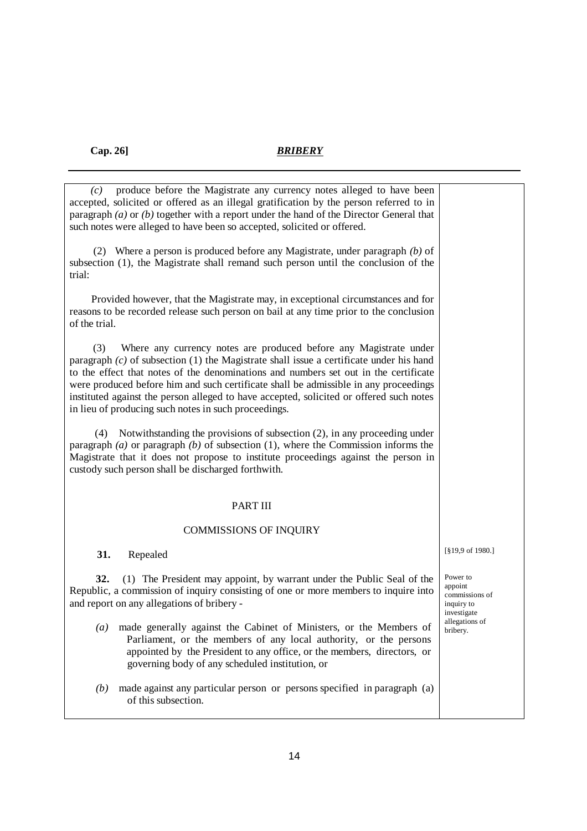| produce before the Magistrate any currency notes alleged to have been<br>(c)<br>accepted, solicited or offered as an illegal gratification by the person referred to in<br>paragraph $(a)$ or $(b)$ together with a report under the hand of the Director General that<br>such notes were alleged to have been so accepted, solicited or offered.                                                                                                                                                        |                                                                    |
|----------------------------------------------------------------------------------------------------------------------------------------------------------------------------------------------------------------------------------------------------------------------------------------------------------------------------------------------------------------------------------------------------------------------------------------------------------------------------------------------------------|--------------------------------------------------------------------|
| (2) Where a person is produced before any Magistrate, under paragraph $(b)$ of<br>subsection (1), the Magistrate shall remand such person until the conclusion of the<br>trial:                                                                                                                                                                                                                                                                                                                          |                                                                    |
| Provided however, that the Magistrate may, in exceptional circumstances and for<br>reasons to be recorded release such person on bail at any time prior to the conclusion<br>of the trial.                                                                                                                                                                                                                                                                                                               |                                                                    |
| (3)<br>Where any currency notes are produced before any Magistrate under<br>paragraph $(c)$ of subsection (1) the Magistrate shall issue a certificate under his hand<br>to the effect that notes of the denominations and numbers set out in the certificate<br>were produced before him and such certificate shall be admissible in any proceedings<br>instituted against the person alleged to have accepted, solicited or offered such notes<br>in lieu of producing such notes in such proceedings. |                                                                    |
| Notwithstanding the provisions of subsection (2), in any proceeding under<br>(4)<br>paragraph (a) or paragraph (b) of subsection (1), where the Commission informs the<br>Magistrate that it does not propose to institute proceedings against the person in<br>custody such person shall be discharged forthwith.                                                                                                                                                                                       |                                                                    |
| <b>PART III</b>                                                                                                                                                                                                                                                                                                                                                                                                                                                                                          |                                                                    |
| <b>COMMISSIONS OF INQUIRY</b>                                                                                                                                                                                                                                                                                                                                                                                                                                                                            |                                                                    |
| 31.<br>Repealed                                                                                                                                                                                                                                                                                                                                                                                                                                                                                          | [§19,9 of 1980.]                                                   |
| 32.<br>(1) The President may appoint, by warrant under the Public Seal of the<br>Republic, a commission of inquiry consisting of one or more members to inquire into<br>and report on any allegations of bribery -                                                                                                                                                                                                                                                                                       | Power to<br>appoint<br>commissions of<br>inquiry to<br>investigate |
| made generally against the Cabinet of Ministers, or the Members of<br>$\left(a\right)$<br>Parliament, or the members of any local authority, or the persons<br>appointed by the President to any office, or the members, directors, or<br>governing body of any scheduled institution, or                                                                                                                                                                                                                | allegations of<br>bribery.                                         |
| made against any particular person or persons specified in paragraph (a)<br>(b)<br>of this subsection.                                                                                                                                                                                                                                                                                                                                                                                                   |                                                                    |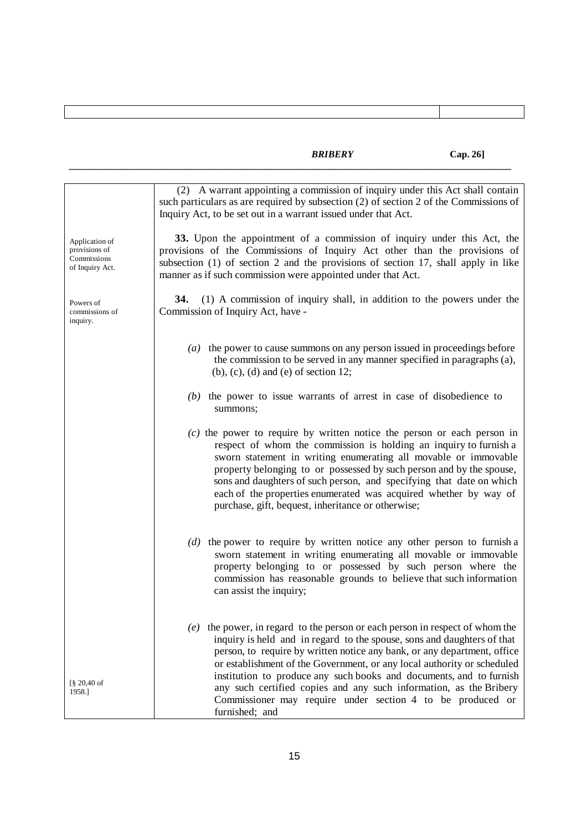|                                                                   | (2) A warrant appointing a commission of inquiry under this Act shall contain<br>such particulars as are required by subsection (2) of section 2 of the Commissions of<br>Inquiry Act, to be set out in a warrant issued under that Act.                                                                                                                                                                                                                                                    |
|-------------------------------------------------------------------|---------------------------------------------------------------------------------------------------------------------------------------------------------------------------------------------------------------------------------------------------------------------------------------------------------------------------------------------------------------------------------------------------------------------------------------------------------------------------------------------|
| Application of<br>provisions of<br>Commissions<br>of Inquiry Act. | 33. Upon the appointment of a commission of inquiry under this Act, the<br>provisions of the Commissions of Inquiry Act other than the provisions of<br>subsection (1) of section 2 and the provisions of section 17, shall apply in like<br>manner as if such commission were appointed under that Act.                                                                                                                                                                                    |
| Powers of<br>commissions of<br>inquiry.                           | (1) A commission of inquiry shall, in addition to the powers under the<br>34.<br>Commission of Inquiry Act, have -                                                                                                                                                                                                                                                                                                                                                                          |
|                                                                   | $(a)$ the power to cause summons on any person issued in proceedings before<br>the commission to be served in any manner specified in paragraphs (a),<br>$(b)$ , $(c)$ , $(d)$ and $(e)$ of section 12;                                                                                                                                                                                                                                                                                     |
|                                                                   | $(b)$ the power to issue warrants of arrest in case of disobedience to<br>summons;                                                                                                                                                                                                                                                                                                                                                                                                          |
|                                                                   | $(c)$ the power to require by written notice the person or each person in<br>respect of whom the commission is holding an inquiry to furnish a<br>sworn statement in writing enumerating all movable or immovable<br>property belonging to or possessed by such person and by the spouse,<br>sons and daughters of such person, and specifying that date on which<br>each of the properties enumerated was acquired whether by way of<br>purchase, gift, bequest, inheritance or otherwise; |
|                                                                   | $(d)$ the power to require by written notice any other person to furnish a<br>sworn statement in writing enumerating all movable or immovable<br>property belonging to or possessed by such person where the<br>commission has reasonable grounds to believe that such information<br>can assist the inquiry;                                                                                                                                                                               |
| $\S 20,40$ of<br>1958.]                                           | $(e)$ the power, in regard to the person or each person in respect of whom the<br>inquiry is held and in regard to the spouse, sons and daughters of that<br>person, to require by written notice any bank, or any department, office<br>or establishment of the Government, or any local authority or scheduled<br>institution to produce any such books and documents, and to furnish<br>any such certified copies and any such information, as the Bribery                               |
|                                                                   | Commissioner may require under section 4 to be produced or<br>furnished; and                                                                                                                                                                                                                                                                                                                                                                                                                |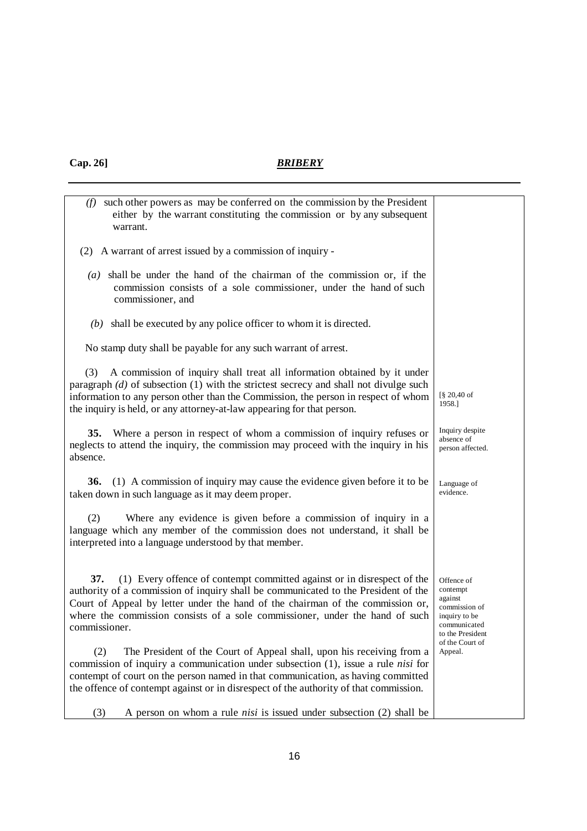| such other powers as may be conferred on the commission by the President<br>(f)<br>either by the warrant constituting the commission or by any subsequent<br>warrant.                                                                                                                                                                                    |                                                                                                         |
|----------------------------------------------------------------------------------------------------------------------------------------------------------------------------------------------------------------------------------------------------------------------------------------------------------------------------------------------------------|---------------------------------------------------------------------------------------------------------|
| (2) A warrant of arrest issued by a commission of inquiry -                                                                                                                                                                                                                                                                                              |                                                                                                         |
| $(a)$ shall be under the hand of the chairman of the commission or, if the<br>commission consists of a sole commissioner, under the hand of such<br>commissioner, and                                                                                                                                                                                    |                                                                                                         |
| $(b)$ shall be executed by any police officer to whom it is directed.                                                                                                                                                                                                                                                                                    |                                                                                                         |
| No stamp duty shall be payable for any such warrant of arrest.                                                                                                                                                                                                                                                                                           |                                                                                                         |
| A commission of inquiry shall treat all information obtained by it under<br>(3)<br>paragraph $(d)$ of subsection $(1)$ with the strictest secrecy and shall not divulge such<br>information to any person other than the Commission, the person in respect of whom<br>the inquiry is held, or any attorney-at-law appearing for that person.             | [§ 20,40 of<br>1958.]                                                                                   |
| Where a person in respect of whom a commission of inquiry refuses or<br><b>35.</b><br>neglects to attend the inquiry, the commission may proceed with the inquiry in his<br>absence.                                                                                                                                                                     | Inquiry despite<br>absence of<br>person affected.                                                       |
| (1) A commission of inquiry may cause the evidence given before it to be<br>36.<br>taken down in such language as it may deem proper.                                                                                                                                                                                                                    | Language of<br>evidence.                                                                                |
| Where any evidence is given before a commission of inquiry in a<br>(2)<br>language which any member of the commission does not understand, it shall be<br>interpreted into a language understood by that member.                                                                                                                                         |                                                                                                         |
| (1) Every offence of contempt committed against or in disrespect of the<br>37.<br>authority of a commission of inquiry shall be communicated to the President of the<br>Court of Appeal by letter under the hand of the chairman of the commission or,<br>where the commission consists of a sole commissioner, under the hand of such<br>commissioner.  | Offence of<br>contempt<br>against<br>commission of<br>inquiry to be<br>communicated<br>to the President |
| The President of the Court of Appeal shall, upon his receiving from a<br>(2)<br>commission of inquiry a communication under subsection $(1)$ , issue a rule <i>nisi</i> for<br>contempt of court on the person named in that communication, as having committed<br>the offence of contempt against or in disrespect of the authority of that commission. | of the Court of<br>Appeal.                                                                              |
| A person on whom a rule <i>nisi</i> is issued under subsection (2) shall be<br>(3)                                                                                                                                                                                                                                                                       |                                                                                                         |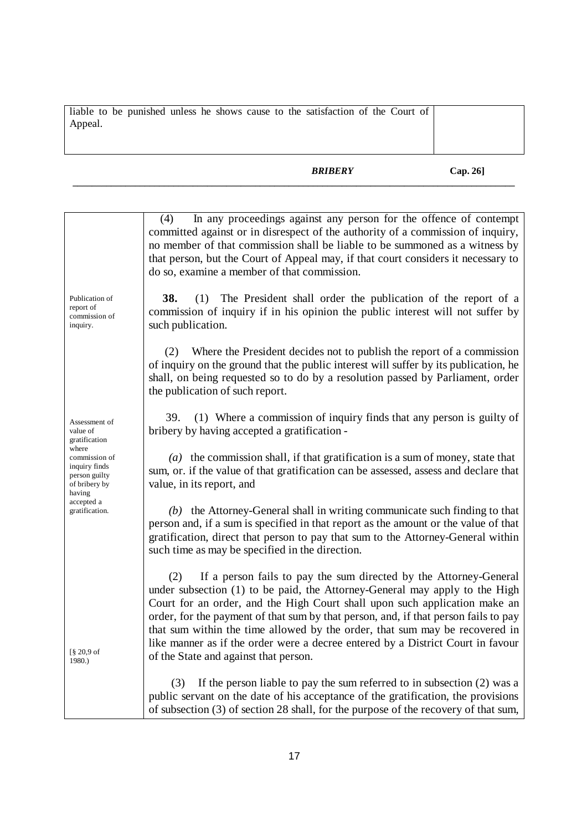| liable to be punished unless he shows cause to the satisfaction of the Court of |  |  |  |  |  |  |
|---------------------------------------------------------------------------------|--|--|--|--|--|--|
| Appeal.                                                                         |  |  |  |  |  |  |
|                                                                                 |  |  |  |  |  |  |
|                                                                                 |  |  |  |  |  |  |

|                                                                                     | In any proceedings against any person for the offence of contempt<br>(4)<br>committed against or in disrespect of the authority of a commission of inquiry,<br>no member of that commission shall be liable to be summoned as a witness by<br>that person, but the Court of Appeal may, if that court considers it necessary to<br>do so, examine a member of that commission.                                                                                                                                                          |
|-------------------------------------------------------------------------------------|-----------------------------------------------------------------------------------------------------------------------------------------------------------------------------------------------------------------------------------------------------------------------------------------------------------------------------------------------------------------------------------------------------------------------------------------------------------------------------------------------------------------------------------------|
| Publication of<br>report of<br>commission of<br>inquiry.                            | 38.<br>The President shall order the publication of the report of a<br>(1)<br>commission of inquiry if in his opinion the public interest will not suffer by<br>such publication.                                                                                                                                                                                                                                                                                                                                                       |
|                                                                                     | Where the President decides not to publish the report of a commission<br>(2)<br>of inquiry on the ground that the public interest will suffer by its publication, he<br>shall, on being requested so to do by a resolution passed by Parliament, order<br>the publication of such report.                                                                                                                                                                                                                                               |
| Assessment of<br>value of<br>gratification                                          | (1) Where a commission of inquiry finds that any person is guilty of<br>39.<br>bribery by having accepted a gratification -                                                                                                                                                                                                                                                                                                                                                                                                             |
| where<br>commission of<br>inquiry finds<br>person guilty<br>of bribery by<br>having | $(a)$ the commission shall, if that gratification is a sum of money, state that<br>sum, or. if the value of that gratification can be assessed, assess and declare that<br>value, in its report, and                                                                                                                                                                                                                                                                                                                                    |
| accepted a<br>gratification.                                                        | $(b)$ the Attorney-General shall in writing communicate such finding to that<br>person and, if a sum is specified in that report as the amount or the value of that<br>gratification, direct that person to pay that sum to the Attorney-General within<br>such time as may be specified in the direction.                                                                                                                                                                                                                              |
| $\S 20.9$ of<br>1980.)                                                              | If a person fails to pay the sum directed by the Attorney-General<br>(2)<br>under subsection (1) to be paid, the Attorney-General may apply to the High<br>Court for an order, and the High Court shall upon such application make an<br>order, for the payment of that sum by that person, and, if that person fails to pay<br>that sum within the time allowed by the order, that sum may be recovered in<br>like manner as if the order were a decree entered by a District Court in favour<br>of the State and against that person. |
|                                                                                     | If the person liable to pay the sum referred to in subsection $(2)$ was a<br>(3)<br>public servant on the date of his acceptance of the gratification, the provisions<br>of subsection (3) of section 28 shall, for the purpose of the recovery of that sum,                                                                                                                                                                                                                                                                            |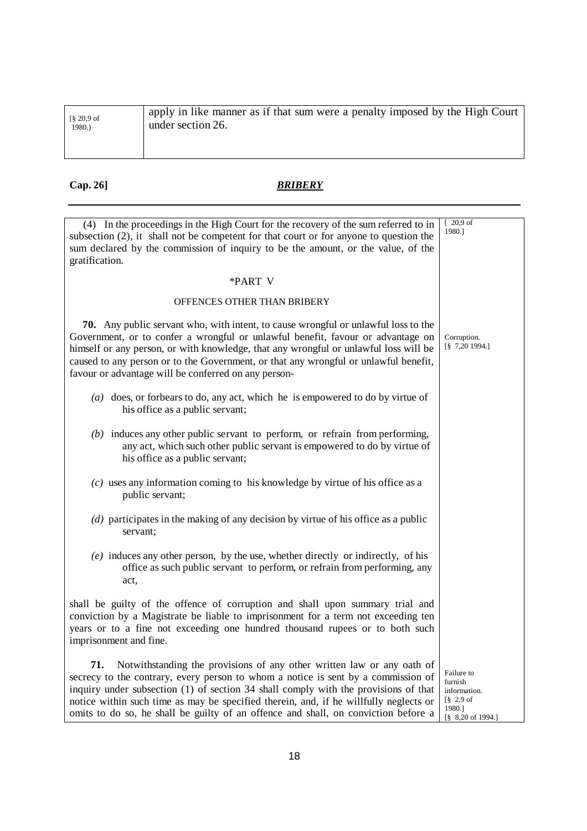| $\frac{8}{9}$ 20,9 of | apply in like manner as if that sum were a penalty imposed by the High Court |
|-----------------------|------------------------------------------------------------------------------|
| 1980.)                | under section 26.                                                            |
|                       |                                                                              |

| (4) In the proceedings in the High Court for the recovery of the sum referred to in<br>subsection $(2)$ , it shall not be competent for that court or for anyone to question the<br>sum declared by the commission of inquiry to be the amount, or the value, of the<br>gratification.                                                                                                                                                   | $\sqrt{20,9}$ of<br>1980.]                                                                                                          |
|------------------------------------------------------------------------------------------------------------------------------------------------------------------------------------------------------------------------------------------------------------------------------------------------------------------------------------------------------------------------------------------------------------------------------------------|-------------------------------------------------------------------------------------------------------------------------------------|
| *PART V                                                                                                                                                                                                                                                                                                                                                                                                                                  |                                                                                                                                     |
| OFFENCES OTHER THAN BRIBERY                                                                                                                                                                                                                                                                                                                                                                                                              |                                                                                                                                     |
| 70. Any public servant who, with intent, to cause wrongful or unlawful loss to the<br>Government, or to confer a wrongful or unlawful benefit, favour or advantage on<br>himself or any person, or with knowledge, that any wrongful or unlawful loss will be<br>caused to any person or to the Government, or that any wrongful or unlawful benefit,<br>favour or advantage will be conferred on any person-                            | Corruption.<br>$\begin{bmatrix} 8 & 7,20 & 1994. \end{bmatrix}$                                                                     |
| (a) does, or forbears to do, any act, which he is empowered to do by virtue of<br>his office as a public servant;                                                                                                                                                                                                                                                                                                                        |                                                                                                                                     |
| $(b)$ induces any other public servant to perform, or refrain from performing,<br>any act, which such other public servant is empowered to do by virtue of<br>his office as a public servant;                                                                                                                                                                                                                                            |                                                                                                                                     |
| $(c)$ uses any information coming to his knowledge by virtue of his office as a<br>public servant;                                                                                                                                                                                                                                                                                                                                       |                                                                                                                                     |
| $(d)$ participates in the making of any decision by virtue of his office as a public<br>servant;                                                                                                                                                                                                                                                                                                                                         |                                                                                                                                     |
| $(e)$ induces any other person, by the use, whether directly or indirectly, of his<br>office as such public servant to perform, or refrain from performing, any<br>act,                                                                                                                                                                                                                                                                  |                                                                                                                                     |
| shall be guilty of the offence of corruption and shall upon summary trial and<br>conviction by a Magistrate be liable to imprisonment for a term not exceeding ten<br>years or to a fine not exceeding one hundred thousand rupees or to both such<br>imprisonment and fine.                                                                                                                                                             |                                                                                                                                     |
| Notwithstanding the provisions of any other written law or any oath of<br>71.<br>secrecy to the contrary, every person to whom a notice is sent by a commission of<br>inquiry under subsection (1) of section 34 shall comply with the provisions of that<br>notice within such time as may be specified therein, and, if he willfully neglects or<br>omits to do so, he shall be guilty of an offence and shall, on conviction before a | Failure to<br>furnish<br>information.<br>$\lceil \S$ 2,9 of<br>1980.]<br>$\begin{bmatrix} 8 & 8,20 \text{ of } 1994. \end{bmatrix}$ |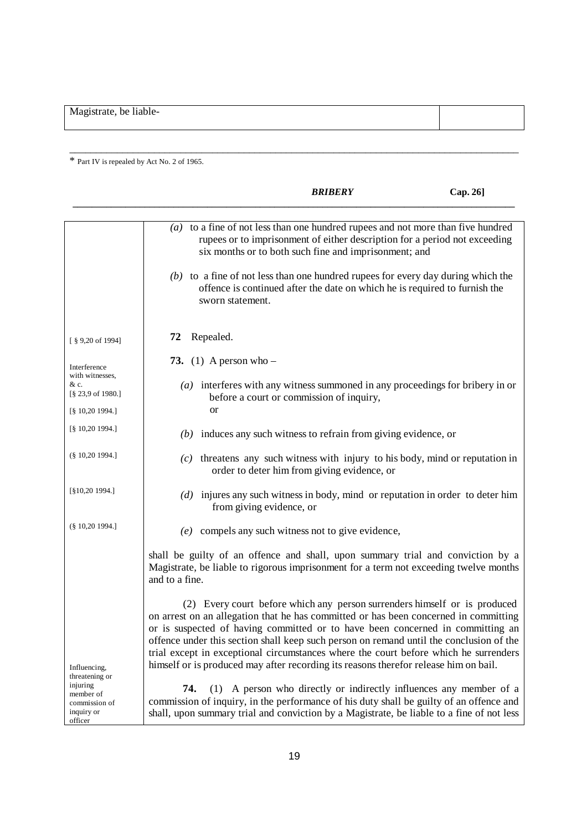Magistrate, be liable-

\* Part IV is repealed by Act No. 2 of 1965.

|                                                                     |                                                                                                                                                                                                                                                                                                                                                                                                                                                                                                                                | <b>BRIBERY</b> | Cap. 26]                                                           |
|---------------------------------------------------------------------|--------------------------------------------------------------------------------------------------------------------------------------------------------------------------------------------------------------------------------------------------------------------------------------------------------------------------------------------------------------------------------------------------------------------------------------------------------------------------------------------------------------------------------|----------------|--------------------------------------------------------------------|
|                                                                     | $(a)$ to a fine of not less than one hundred rupees and not more than five hundred<br>rupees or to imprisonment of either description for a period not exceeding<br>six months or to both such fine and imprisonment; and<br>$(b)$ to a fine of not less than one hundred rupees for every day during which the<br>offence is continued after the date on which he is required to furnish the<br>sworn statement.                                                                                                              |                |                                                                    |
| $[$ § 9,20 of 1994]                                                 | Repealed.<br>72                                                                                                                                                                                                                                                                                                                                                                                                                                                                                                                |                |                                                                    |
| Interference                                                        | 73. (1) A person who $-$                                                                                                                                                                                                                                                                                                                                                                                                                                                                                                       |                |                                                                    |
| with witnesses,<br>& c.<br>[§ 23,9 of 1980.]<br>$[\S 10, 20 1994.]$ | $(a)$ interferes with any witness summoned in any proceedings for bribery in or<br>before a court or commission of inquiry,<br><b>or</b>                                                                                                                                                                                                                                                                                                                                                                                       |                |                                                                    |
| [§ 10,20 1994.]                                                     | $(b)$ induces any such witness to refrain from giving evidence, or                                                                                                                                                                                                                                                                                                                                                                                                                                                             |                |                                                                    |
| $(\$10,201994.]$                                                    | $(c)$ threatens any such witness with injury to his body, mind or reputation in<br>order to deter him from giving evidence, or                                                                                                                                                                                                                                                                                                                                                                                                 |                |                                                                    |
| [§10,20 1994.]                                                      | $(d)$ injures any such witness in body, mind or reputation in order to deter him<br>from giving evidence, or                                                                                                                                                                                                                                                                                                                                                                                                                   |                |                                                                    |
| $(\S 10, 20 1994.$                                                  | $(e)$ compels any such witness not to give evidence,                                                                                                                                                                                                                                                                                                                                                                                                                                                                           |                |                                                                    |
|                                                                     | shall be guilty of an offence and shall, upon summary trial and conviction by a<br>Magistrate, be liable to rigorous imprisonment for a term not exceeding twelve months<br>and to a fine.                                                                                                                                                                                                                                                                                                                                     |                |                                                                    |
| Influencing,<br>threatening or                                      | (2) Every court before which any person surrenders himself or is produced<br>on arrest on an allegation that he has committed or has been concerned in committing<br>or is suspected of having committed or to have been concerned in committing an<br>offence under this section shall keep such person on remand until the conclusion of the<br>trial except in exceptional circumstances where the court before which he surrenders<br>himself or is produced may after recording its reasons therefor release him on bail. |                |                                                                    |
| injuring<br>member of<br>commission of<br>inquiry or<br>officer     | 74.<br>commission of inquiry, in the performance of his duty shall be guilty of an offence and<br>shall, upon summary trial and conviction by a Magistrate, be liable to a fine of not less                                                                                                                                                                                                                                                                                                                                    |                | (1) A person who directly or indirectly influences any member of a |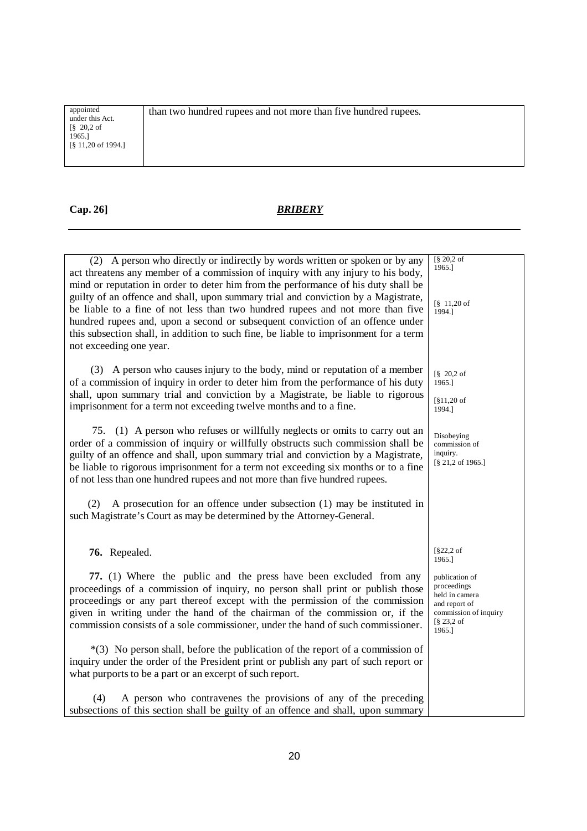| appointed<br>than two hundred rupees and not more than five hundred rupees.<br>under this Act.<br>$\frac{8}{9}$ 20,2 of<br>1965.1<br>$\lceil$ § 11,20 of 1994.] |  |
|-----------------------------------------------------------------------------------------------------------------------------------------------------------------|--|
|-----------------------------------------------------------------------------------------------------------------------------------------------------------------|--|

| (2) A person who directly or indirectly by words written or spoken or by any<br>act threatens any member of a commission of inquiry with any injury to his body,<br>mind or reputation in order to deter him from the performance of his duty shall be<br>guilty of an offence and shall, upon summary trial and conviction by a Magistrate,<br>be liable to a fine of not less than two hundred rupees and not more than five<br>hundred rupees and, upon a second or subsequent conviction of an offence under<br>this subsection shall, in addition to such fine, be liable to imprisonment for a term<br>not exceeding one year. | [§ 20,2 of<br>1965.1<br>$[\S 11, 20$ of<br>1994.]                                                                   |
|--------------------------------------------------------------------------------------------------------------------------------------------------------------------------------------------------------------------------------------------------------------------------------------------------------------------------------------------------------------------------------------------------------------------------------------------------------------------------------------------------------------------------------------------------------------------------------------------------------------------------------------|---------------------------------------------------------------------------------------------------------------------|
| (3) A person who causes injury to the body, mind or reputation of a member<br>of a commission of inquiry in order to deter him from the performance of his duty<br>shall, upon summary trial and conviction by a Magistrate, be liable to rigorous<br>imprisonment for a term not exceeding twelve months and to a fine.                                                                                                                                                                                                                                                                                                             | $\sqrt{8}$ 20,2 of<br>1965.1<br>$\lceil 811, 20 \rceil$<br>1994.]                                                   |
| 75. (1) A person who refuses or willfully neglects or omits to carry out an<br>order of a commission of inquiry or willfully obstructs such commission shall be<br>guilty of an offence and shall, upon summary trial and conviction by a Magistrate,<br>be liable to rigorous imprisonment for a term not exceeding six months or to a fine<br>of not less than one hundred rupees and not more than five hundred rupees.                                                                                                                                                                                                           | Disobeying<br>commission of<br>inquiry.<br>$[\S 21, 2 \text{ of } 1965.]$                                           |
| A prosecution for an offence under subsection $(1)$ may be instituted in<br>(2)<br>such Magistrate's Court as may be determined by the Attorney-General.                                                                                                                                                                                                                                                                                                                                                                                                                                                                             |                                                                                                                     |
| 76. Repealed.                                                                                                                                                                                                                                                                                                                                                                                                                                                                                                                                                                                                                        | $\S22,2$ of<br>1965.]                                                                                               |
| 77. (1) Where the public and the press have been excluded from any<br>proceedings of a commission of inquiry, no person shall print or publish those<br>proceedings or any part thereof except with the permission of the commission<br>given in writing under the hand of the chairman of the commission or, if the<br>commission consists of a sole commissioner, under the hand of such commissioner.                                                                                                                                                                                                                             | publication of<br>proceedings<br>held in camera<br>and report of<br>commission of inquiry<br>$\S$ 23,2 of<br>1965.] |
| $*(3)$ No person shall, before the publication of the report of a commission of<br>inquiry under the order of the President print or publish any part of such report or<br>what purports to be a part or an excerpt of such report.                                                                                                                                                                                                                                                                                                                                                                                                  |                                                                                                                     |
| A person who contravenes the provisions of any of the preceding<br>(4)<br>subsections of this section shall be guilty of an offence and shall, upon summary                                                                                                                                                                                                                                                                                                                                                                                                                                                                          |                                                                                                                     |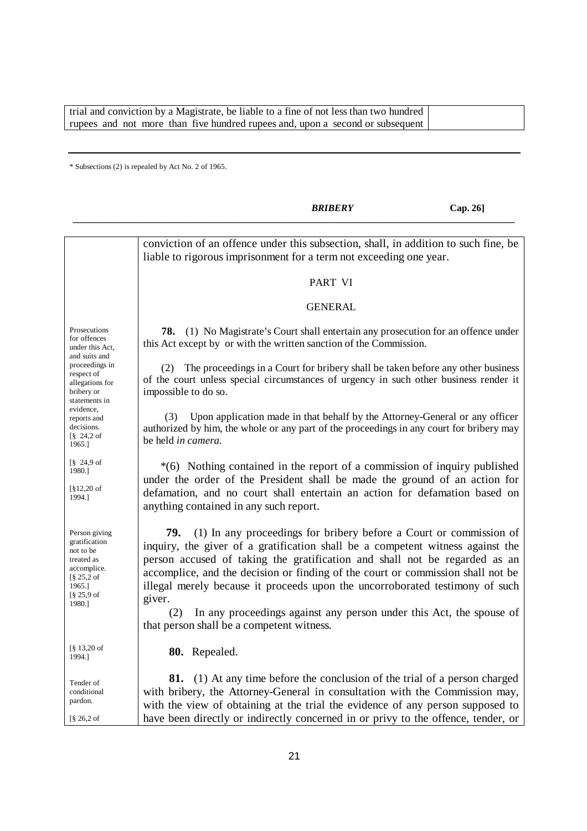trial and conviction by a Magistrate, be liable to a fine of not less than two hundred rupees and not more than five hundred rupees and, upon a second or subsequent

\* Subsections (2) is repealed by Act No. 2 of 1965.

*BRIBERY* **Cap. 26]** *\_\_\_\_\_\_\_\_\_\_\_\_\_\_\_\_\_\_\_\_\_\_\_\_\_\_\_\_\_\_\_\_\_\_\_\_\_\_\_\_\_\_\_\_\_\_\_\_\_\_\_\_\_\_\_\_\_\_\_\_\_\_\_\_\_\_\_\_\_\_\_\_\_\_\_\_\_\_\_\_\_\_\_\_\_\_\_\_\_\_\_\_* Prosecutions for offences under this Act, and suits and proceedings in respect of allegations for bribery or statements in evidence, reports and decisions. [§ 24,2 of 1965.] [§ 24,9 of 1980.] [§12,20 of 1994.] Person giving gratification not to be treated as accomplice.  $[8.252]$  of 1965.] [§ 25,9 of 1980.] [§ 13,20 of 1994.] Tender of conditional pardon. [§ 26,2 of conviction of an offence under this subsection, shall, in addition to such fine, be liable to rigorous imprisonment for a term not exceeding one year. PART VI GENERAL  **78.** (1) No Magistrate's Court shall entertain any prosecution for an offence under this Act except by or with the written sanction of the Commission. (2) The proceedings in a Court for bribery shall be taken before any other business of the court unless special circumstances of urgency in such other business render it impossible to do so. (3) Upon application made in that behalf by the Attorney-General or any officer authorized by him, the whole or any part of the proceedings in any court for bribery may be held *in camera.* \*(6) Nothing contained in the report of a commission of inquiry published under the order of the President shall be made the ground of an action for defamation, and no court shall entertain an action for defamation based on anything contained in any such report.  **79.** (1) In any proceedings for bribery before a Court or commission of inquiry, the giver of a gratification shall be a competent witness against the person accused of taking the gratification and shall not be regarded as an accomplice, and the decision or finding of the court or commission shall not be illegal merely because it proceeds upon the uncorroborated testimony of such giver. (2) In any proceedings against any person under this Act, the spouse of that person shall be a competent witness. **80.** Repealed. **81.** (1) At any time before the conclusion of the trial of a person charged with bribery, the Attorney-General in consultation with the Commission may, with the view of obtaining at the trial the evidence of any person supposed to have been directly or indirectly concerned in or privy to the offence, tender, or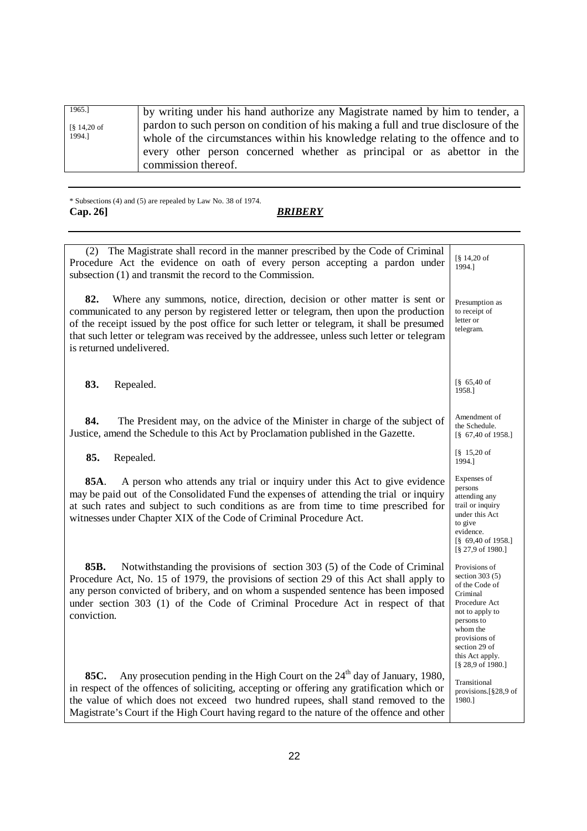| 1965.]              | by writing under his hand authorize any Magistrate named by him to tender, a       |
|---------------------|------------------------------------------------------------------------------------|
| $\sqrt{8}$ 14,20 of | pardon to such person on condition of his making a full and true disclosure of the |
| 1994.]              | whole of the circumstances within his knowledge relating to the offence and to     |
|                     | every other person concerned whether as principal or as abettor in the             |
|                     | commission thereof.                                                                |

\* Subsections (4) and (5) are repealed by Law No. 38 of 1974. **Cap. 26]** *BRIBERY*

| The Magistrate shall record in the manner prescribed by the Code of Criminal<br>(2)<br>Procedure Act the evidence on oath of every person accepting a pardon under<br>subsection (1) and transmit the record to the Commission.                                                                                                                                                                   | [§ 14,20 of<br>1994.1                                                                                                                                                                                   |
|---------------------------------------------------------------------------------------------------------------------------------------------------------------------------------------------------------------------------------------------------------------------------------------------------------------------------------------------------------------------------------------------------|---------------------------------------------------------------------------------------------------------------------------------------------------------------------------------------------------------|
| 82.<br>Where any summons, notice, direction, decision or other matter is sent or<br>communicated to any person by registered letter or telegram, then upon the production<br>of the receipt issued by the post office for such letter or telegram, it shall be presumed<br>that such letter or telegram was received by the addressee, unless such letter or telegram<br>is returned undelivered. | Presumption as<br>to receipt of<br>letter or<br>telegram.                                                                                                                                               |
| 83.<br>Repealed.                                                                                                                                                                                                                                                                                                                                                                                  | $865,40$ of<br>1958.1                                                                                                                                                                                   |
| 84.<br>The President may, on the advice of the Minister in charge of the subject of<br>Justice, amend the Schedule to this Act by Proclamation published in the Gazette.                                                                                                                                                                                                                          | Amendment of<br>the Schedule.<br>$\begin{bmatrix} 8 & 67,40 & 61958. \end{bmatrix}$                                                                                                                     |
| 85.<br>Repealed.                                                                                                                                                                                                                                                                                                                                                                                  | $\frac{8}{9}$ 15,20 of<br>1994.]                                                                                                                                                                        |
| 85A.<br>A person who attends any trial or inquiry under this Act to give evidence<br>may be paid out of the Consolidated Fund the expenses of attending the trial or inquiry<br>at such rates and subject to such conditions as are from time to time prescribed for<br>witnesses under Chapter XIX of the Code of Criminal Procedure Act.                                                        | Expenses of<br>persons<br>attending any<br>trail or inquiry<br>under this Act<br>to give<br>evidence.<br>$[\S 69,40$ of 1958.]<br>[§ 27,9 of 1980.]                                                     |
| 85B.<br>Notwithstanding the provisions of section 303 (5) of the Code of Criminal<br>Procedure Act, No. 15 of 1979, the provisions of section 29 of this Act shall apply to<br>any person convicted of bribery, and on whom a suspended sentence has been imposed<br>under section 303 (1) of the Code of Criminal Procedure Act in respect of that<br>conviction.                                | Provisions of<br>section $303(5)$<br>of the Code of<br>Criminal<br>Procedure Act<br>not to apply to<br>persons to<br>whom the<br>provisions of<br>section 29 of<br>this Act apply.<br>[§ 28,9 of 1980.] |
| Any prosecution pending in the High Court on the 24 <sup>th</sup> day of January, 1980,<br>85C.<br>in respect of the offences of soliciting, accepting or offering any gratification which or<br>the value of which does not exceed two hundred rupees, shall stand removed to the<br>Magistrate's Court if the High Court having regard to the nature of the offence and other                   | Transitional<br>provisions. $\S 28.9$ of<br>1980.]                                                                                                                                                      |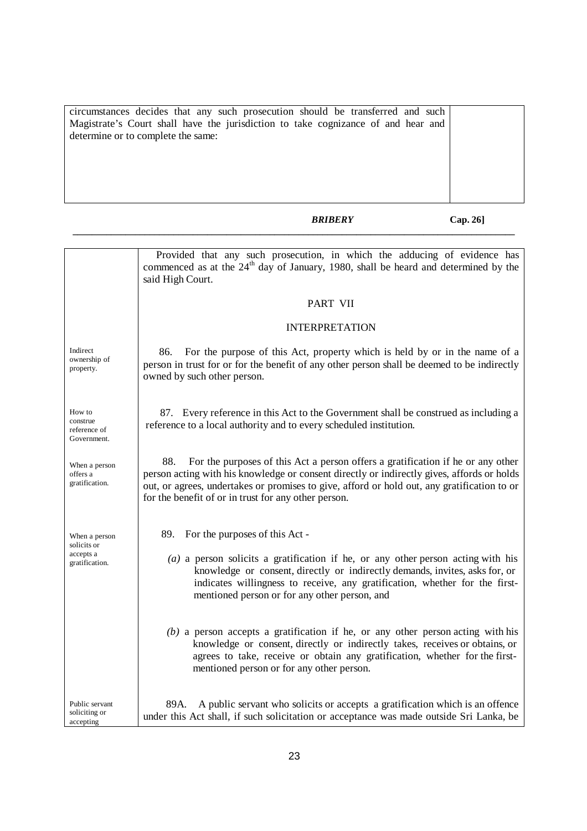circumstances decides that any such prosecution should be transferred and such Magistrate's Court shall have the jurisdiction to take cognizance of and hear and determine or to complete the same:

*BRIBERY* **Cap. 26]**

|                                                             | Provided that any such prosecution, in which the adducing of evidence has<br>commenced as at the 24 <sup>th</sup> day of January, 1980, shall be heard and determined by the<br>said High Court.                                                                                                                                            |  |
|-------------------------------------------------------------|---------------------------------------------------------------------------------------------------------------------------------------------------------------------------------------------------------------------------------------------------------------------------------------------------------------------------------------------|--|
|                                                             | PART VII                                                                                                                                                                                                                                                                                                                                    |  |
|                                                             | <b>INTERPRETATION</b>                                                                                                                                                                                                                                                                                                                       |  |
| Indirect<br>ownership of<br>property.                       | For the purpose of this Act, property which is held by or in the name of a<br>86.<br>person in trust for or for the benefit of any other person shall be deemed to be indirectly<br>owned by such other person.                                                                                                                             |  |
| How to<br>construe<br>reference of<br>Government.           | 87. Every reference in this Act to the Government shall be construed as including a<br>reference to a local authority and to every scheduled institution.                                                                                                                                                                                   |  |
| When a person<br>offers a<br>gratification.                 | 88.<br>For the purposes of this Act a person offers a gratification if he or any other<br>person acting with his knowledge or consent directly or indirectly gives, affords or holds<br>out, or agrees, undertakes or promises to give, afford or hold out, any gratification to or<br>for the benefit of or in trust for any other person. |  |
| When a person<br>solicits or<br>accepts a<br>gratification. | 89. For the purposes of this Act -<br>$(a)$ a person solicits a gratification if he, or any other person acting with his<br>knowledge or consent, directly or indirectly demands, invites, asks for, or<br>indicates willingness to receive, any gratification, whether for the first-<br>mentioned person or for any other person, and     |  |
|                                                             | $(b)$ a person accepts a gratification if he, or any other person acting with his<br>knowledge or consent, directly or indirectly takes, receives or obtains, or<br>agrees to take, receive or obtain any gratification, whether for the first-<br>mentioned person or for any other person.                                                |  |
| Public servant<br>soliciting or<br>accepting                | A public servant who solicits or accepts a gratification which is an offence<br>89A.<br>under this Act shall, if such solicitation or acceptance was made outside Sri Lanka, be                                                                                                                                                             |  |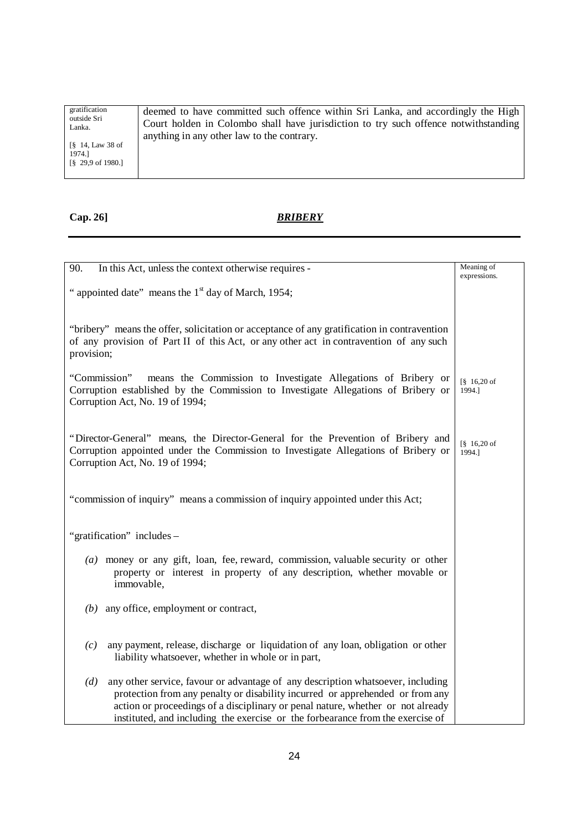| gratification                                                                                         | deemed to have committed such offence within Sri Lanka, and accordingly the High    |
|-------------------------------------------------------------------------------------------------------|-------------------------------------------------------------------------------------|
| outside Sri                                                                                           | Court holden in Colombo shall have jurisdiction to try such offence notwithstanding |
| Lanka.                                                                                                | anything in any other law to the contrary.                                          |
| $\frac{8}{9}$ 14, Law 38 of<br>1974.]<br>$\begin{bmatrix} 8 & 29.9 & \text{of} & 1980. \end{bmatrix}$ |                                                                                     |

| 90.<br>In this Act, unless the context otherwise requires -                                                                                                                                                                                                                                                                                  | Meaning of<br>expressions.                                      |
|----------------------------------------------------------------------------------------------------------------------------------------------------------------------------------------------------------------------------------------------------------------------------------------------------------------------------------------------|-----------------------------------------------------------------|
| " appointed date" means the 1 <sup>st</sup> day of March, 1954;                                                                                                                                                                                                                                                                              |                                                                 |
|                                                                                                                                                                                                                                                                                                                                              |                                                                 |
| "bribery" means the offer, solicitation or acceptance of any gratification in contravention<br>of any provision of Part II of this Act, or any other act in contravention of any such<br>provision;                                                                                                                                          |                                                                 |
| means the Commission to Investigate Allegations of Bribery or<br>"Commission"<br>Corruption established by the Commission to Investigate Allegations of Bribery or<br>Corruption Act, No. 19 of 1994;                                                                                                                                        | $\begin{bmatrix} \S & 16,20 \text{ of} \end{bmatrix}$<br>1994.] |
| "Director-General" means, the Director-General for the Prevention of Bribery and<br>Corruption appointed under the Commission to Investigate Allegations of Bribery or<br>Corruption Act, No. 19 of 1994;                                                                                                                                    | $\begin{bmatrix} \$ & 16,20 \text{ of} \end{bmatrix}$<br>1994.] |
| "commission of inquiry" means a commission of inquiry appointed under this Act;                                                                                                                                                                                                                                                              |                                                                 |
| "gratification" includes -                                                                                                                                                                                                                                                                                                                   |                                                                 |
| (a) money or any gift, loan, fee, reward, commission, valuable security or other<br>property or interest in property of any description, whether movable or<br>immovable,                                                                                                                                                                    |                                                                 |
| $(b)$ any office, employment or contract,                                                                                                                                                                                                                                                                                                    |                                                                 |
| any payment, release, discharge or liquidation of any loan, obligation or other<br>(c)<br>liability whatsoever, whether in whole or in part,                                                                                                                                                                                                 |                                                                 |
| any other service, favour or advantage of any description whatsoever, including<br>(d)<br>protection from any penalty or disability incurred or apprehended or from any<br>action or proceedings of a disciplinary or penal nature, whether or not already<br>instituted, and including the exercise or the forbearance from the exercise of |                                                                 |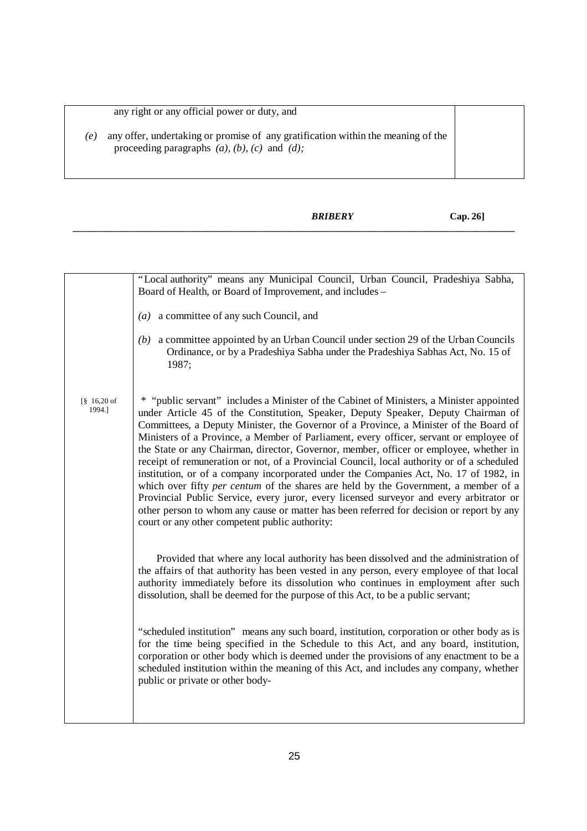# any right or any official power or duty, and

- *(e)* any offer, undertaking or promise of any gratification within the meaning of the proceeding paragraphs *(a), (b), (c)* and *(d);*
	- *BRIBERY* **Cap. 26]**

|                                  | "Local authority" means any Municipal Council, Urban Council, Pradeshiya Sabha,<br>Board of Health, or Board of Improvement, and includes -                                                                                                                                                                                                                                                                                                                                                                                                                                                                                                                                                                                                                                                                                                                                                                                                                                              |  |
|----------------------------------|------------------------------------------------------------------------------------------------------------------------------------------------------------------------------------------------------------------------------------------------------------------------------------------------------------------------------------------------------------------------------------------------------------------------------------------------------------------------------------------------------------------------------------------------------------------------------------------------------------------------------------------------------------------------------------------------------------------------------------------------------------------------------------------------------------------------------------------------------------------------------------------------------------------------------------------------------------------------------------------|--|
|                                  |                                                                                                                                                                                                                                                                                                                                                                                                                                                                                                                                                                                                                                                                                                                                                                                                                                                                                                                                                                                          |  |
|                                  | $(a)$ a committee of any such Council, and                                                                                                                                                                                                                                                                                                                                                                                                                                                                                                                                                                                                                                                                                                                                                                                                                                                                                                                                               |  |
|                                  | (b) a committee appointed by an Urban Council under section 29 of the Urban Councils<br>Ordinance, or by a Pradeshiya Sabha under the Pradeshiya Sabhas Act, No. 15 of<br>1987;                                                                                                                                                                                                                                                                                                                                                                                                                                                                                                                                                                                                                                                                                                                                                                                                          |  |
| $\frac{8}{9}$ 16,20 of<br>1994.] | * "public servant" includes a Minister of the Cabinet of Ministers, a Minister appointed<br>under Article 45 of the Constitution, Speaker, Deputy Speaker, Deputy Chairman of<br>Committees, a Deputy Minister, the Governor of a Province, a Minister of the Board of<br>Ministers of a Province, a Member of Parliament, every officer, servant or employee of<br>the State or any Chairman, director, Governor, member, officer or employee, whether in<br>receipt of remuneration or not, of a Provincial Council, local authority or of a scheduled<br>institution, or of a company incorporated under the Companies Act, No. 17 of 1982, in<br>which over fifty <i>per centum</i> of the shares are held by the Government, a member of a<br>Provincial Public Service, every juror, every licensed surveyor and every arbitrator or<br>other person to whom any cause or matter has been referred for decision or report by any<br>court or any other competent public authority: |  |
|                                  | Provided that where any local authority has been dissolved and the administration of<br>the affairs of that authority has been vested in any person, every employee of that local<br>authority immediately before its dissolution who continues in employment after such<br>dissolution, shall be deemed for the purpose of this Act, to be a public servant;                                                                                                                                                                                                                                                                                                                                                                                                                                                                                                                                                                                                                            |  |
|                                  | "scheduled institution" means any such board, institution, corporation or other body as is<br>for the time being specified in the Schedule to this Act, and any board, institution,<br>corporation or other body which is deemed under the provisions of any enactment to be a<br>scheduled institution within the meaning of this Act, and includes any company, whether<br>public or private or other body-                                                                                                                                                                                                                                                                                                                                                                                                                                                                                                                                                                            |  |
|                                  |                                                                                                                                                                                                                                                                                                                                                                                                                                                                                                                                                                                                                                                                                                                                                                                                                                                                                                                                                                                          |  |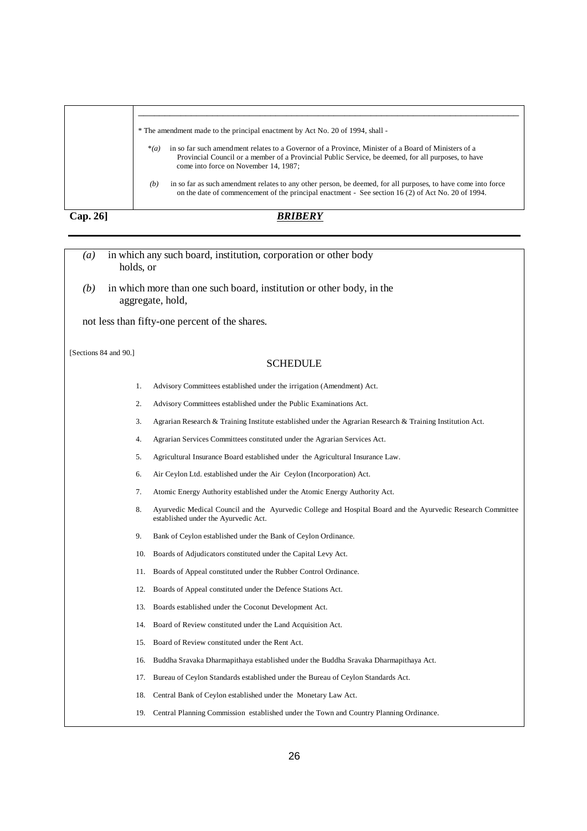|                  | * The amendment made to the principal enactment by Act No. 20 of 1994, shall -                                                                                                                                                                                |
|------------------|---------------------------------------------------------------------------------------------------------------------------------------------------------------------------------------------------------------------------------------------------------------|
|                  | in so far such amendment relates to a Governor of a Province, Minister of a Board of Ministers of a<br>$*(a)$<br>Provincial Council or a member of a Provincial Public Service, be deemed, for all purposes, to have<br>come into force on November 14, 1987; |
|                  | in so far as such amendment relates to any other person, be deemed, for all purposes, to have come into force<br>(b)<br>on the date of commencement of the principal enactment - See section 16 (2) of Act No. 20 of 1994.                                    |
| $\sim$<br>$\sim$ | nninnii                                                                                                                                                                                                                                                       |

|  | Cap. 261 |
|--|----------|
|  |          |

- *(a)* in which any such board, institution, corporation or other body holds, or  *(b)* in which more than one such board, institution or other body, in the aggregate, hold, not less than fifty-one percent of the shares. [Sections 84 and 90.] **SCHEDULE** 1. Advisory Committees established under the irrigation (Amendment) Act. 2. Advisory Committees established under the Public Examinations Act. 3. Agrarian Research & Training Institute established under the Agrarian Research & Training Institution Act. 4. Agrarian Services Committees constituted under the Agrarian Services Act. 5. Agricultural Insurance Board established under the Agricultural Insurance Law. 6. Air Ceylon Ltd. established under the Air Ceylon (Incorporation) Act. 7. Atomic Energy Authority established under the Atomic Energy Authority Act. 8. Ayurvedic Medical Council and the Ayurvedic College and Hospital Board and the Ayurvedic Research Committee established under the Ayurvedic Act. 9. Bank of Ceylon established under the Bank of Ceylon Ordinance. 10. Boards of Adjudicators constituted under the Capital Levy Act. 11. Boards of Appeal constituted under the Rubber Control Ordinance. 12. Boards of Appeal constituted under the Defence Stations Act. 13. Boards established under the Coconut Development Act. 14. Board of Review constituted under the Land Acquisition Act. 15. Board of Review constituted under the Rent Act.
	- 16. Buddha Sravaka Dharmapithaya established under the Buddha Sravaka Dharmapithaya Act.
	- 17. Bureau of Ceylon Standards established under the Bureau of Ceylon Standards Act.
	- 18. Central Bank of Ceylon established under the Monetary Law Act.
	- 19. Central Planning Commission established under the Town and Country Planning Ordinance.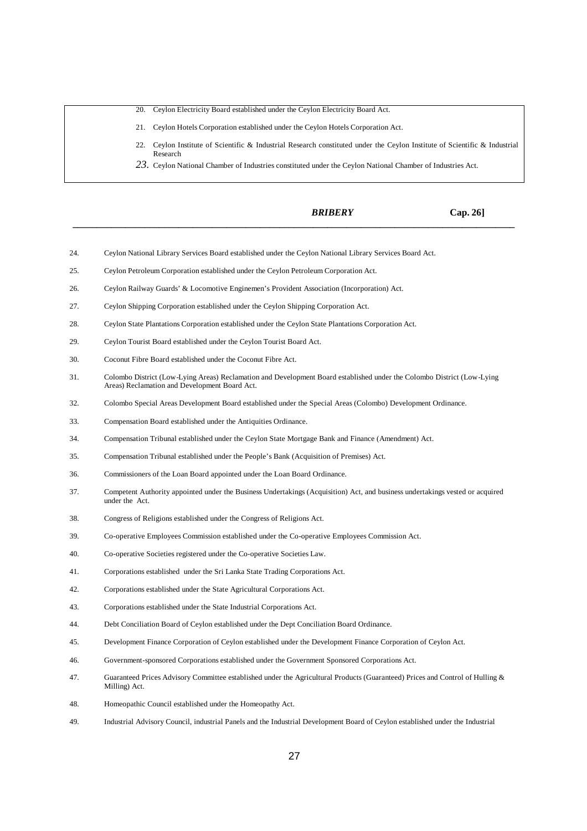- 20. Ceylon Electricity Board established under the Ceylon Electricity Board Act.
- 21. Ceylon Hotels Corporation established under the Ceylon Hotels Corporation Act.
- 22. Ceylon Institute of Scientific & Industrial Research constituted under the Ceylon Institute of Scientific & Industrial Research
- 23. Ceylon National Chamber of Industries constituted under the Ceylon National Chamber of Industries Act.

*\_\_\_\_\_\_\_\_\_\_\_\_\_\_\_\_\_\_\_\_\_\_\_\_\_\_\_\_\_\_\_\_\_\_\_\_\_\_\_\_\_\_\_\_\_\_\_\_\_\_\_\_\_\_\_\_\_\_\_\_\_\_\_\_\_\_\_\_\_\_\_\_\_\_\_\_\_\_\_\_\_\_\_\_\_\_\_\_\_\_\_\_*

*BRIBERY* **Cap. 26]**

- 24. Ceylon National Library Services Board established under the Ceylon National Library Services Board Act.
- 25. Ceylon Petroleum Corporation established under the Ceylon Petroleum Corporation Act.
- 26. Ceylon Railway Guards' & Locomotive Enginemen's Provident Association (Incorporation) Act.
- 27. Ceylon Shipping Corporation established under the Ceylon Shipping Corporation Act.
- 28. Ceylon State Plantations Corporation established under the Ceylon State Plantations Corporation Act.
- 29. Ceylon Tourist Board established under the Ceylon Tourist Board Act.
- 30. Coconut Fibre Board established under the Coconut Fibre Act.
- 31. Colombo District (Low-Lying Areas) Reclamation and Development Board established under the Colombo District (Low-Lying Areas) Reclamation and Development Board Act.
- 32. Colombo Special Areas Development Board established under the Special Areas (Colombo) Development Ordinance.
- 33. Compensation Board established under the Antiquities Ordinance.
- 34. Compensation Tribunal established under the Ceylon State Mortgage Bank and Finance (Amendment) Act.
- 35. Compensation Tribunal established under the People's Bank (Acquisition of Premises) Act.
- 36. Commissioners of the Loan Board appointed under the Loan Board Ordinance.
- 37. Competent Authority appointed under the Business Undertakings (Acquisition) Act, and business undertakings vested or acquired under the Act.
- 38. Congress of Religions established under the Congress of Religions Act.
- 39. Co-operative Employees Commission established under the Co-operative Employees Commission Act.
- 40. Co-operative Societies registered under the Co-operative Societies Law.
- 41. Corporations established under the Sri Lanka State Trading Corporations Act.
- 42. Corporations established under the State Agricultural Corporations Act.
- 43. Corporations established under the State Industrial Corporations Act.
- 44. Debt Conciliation Board of Ceylon established under the Dept Conciliation Board Ordinance.
- 45. Development Finance Corporation of Ceylon established under the Development Finance Corporation of Ceylon Act.
- 46. Government-sponsored Corporations established under the Government Sponsored Corporations Act.
- 47. Guaranteed Prices Advisory Committee established under the Agricultural Products (Guaranteed) Prices and Control of Hulling & Milling) Act.
- 48. Homeopathic Council established under the Homeopathy Act.
- 49. Industrial Advisory Council, industrial Panels and the Industrial Development Board of Ceylon established under the Industrial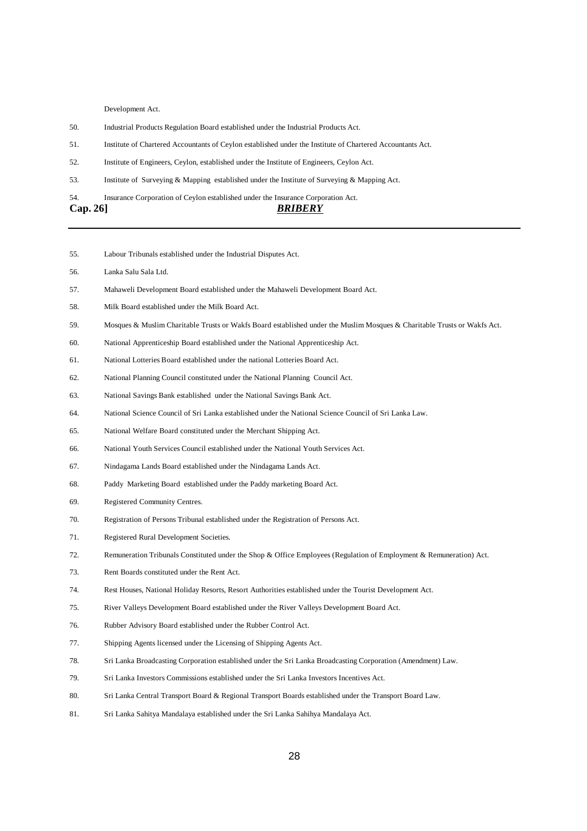Development Act.

- 50. Industrial Products Regulation Board established under the Industrial Products Act.
- 51. Institute of Chartered Accountants of Ceylon established under the Institute of Chartered Accountants Act.
- 52. Institute of Engineers, Ceylon, established under the Institute of Engineers, Ceylon Act.
- 53. Institute of Surveying & Mapping established under the Institute of Surveying & Mapping Act.
- 54. Insurance Corporation of Ceylon established under the Insurance Corporation Act.

- 55. Labour Tribunals established under the Industrial Disputes Act.
- 56. Lanka Salu Sala Ltd.
- 57. Mahaweli Development Board established under the Mahaweli Development Board Act.
- 58. Milk Board established under the Milk Board Act.
- 59. Mosques & Muslim Charitable Trusts or Wakfs Board established under the Muslim Mosques & Charitable Trusts or Wakfs Act.
- 60. National Apprenticeship Board established under the National Apprenticeship Act.
- 61. National Lotteries Board established under the national Lotteries Board Act.
- 62. National Planning Council constituted under the National Planning Council Act.
- 63. National Savings Bank established under the National Savings Bank Act.
- 64. National Science Council of Sri Lanka established under the National Science Council of Sri Lanka Law.
- 65. National Welfare Board constituted under the Merchant Shipping Act.
- 66. National Youth Services Council established under the National Youth Services Act.
- 67. Nindagama Lands Board established under the Nindagama Lands Act.
- 68. Paddy Marketing Board established under the Paddy marketing Board Act.
- 69. Registered Community Centres.
- 70. Registration of Persons Tribunal established under the Registration of Persons Act.
- 71. Registered Rural Development Societies.
- 72. Remuneration Tribunals Constituted under the Shop & Office Employees (Regulation of Employment & Remuneration) Act.
- 73. Rent Boards constituted under the Rent Act.
- 74. Rest Houses, National Holiday Resorts, Resort Authorities established under the Tourist Development Act.
- 75. River Valleys Development Board established under the River Valleys Development Board Act.
- 76. Rubber Advisory Board established under the Rubber Control Act.
- 77. Shipping Agents licensed under the Licensing of Shipping Agents Act.
- 78. Sri Lanka Broadcasting Corporation established under the Sri Lanka Broadcasting Corporation (Amendment) Law.
- 79. Sri Lanka Investors Commissions established under the Sri Lanka Investors Incentives Act.
- 80. Sri Lanka Central Transport Board & Regional Transport Boards established under the Transport Board Law.
- 81. Sri Lanka Sahitya Mandalaya established under the Sri Lanka Sahihya Mandalaya Act.